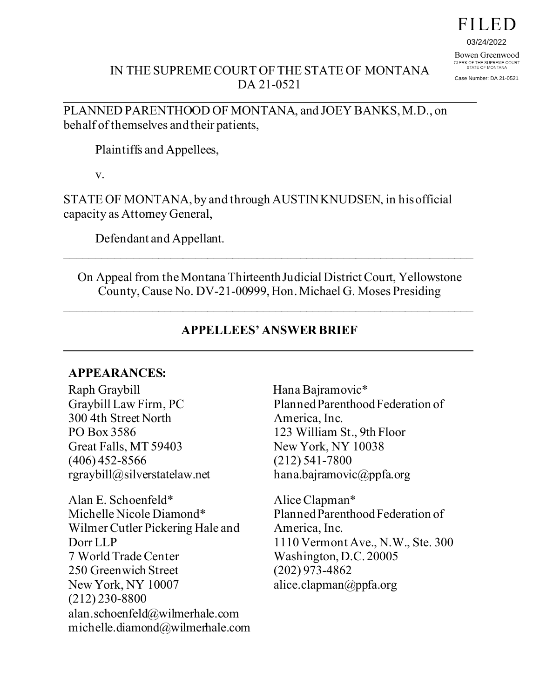# FILED

03/24/2022

Bowen Greenwood CLERK OF THE SUPREME COURT<br>STATE OF MONTANA

Case Number: DA 21-0521

### IN THE SUPREME COURT OF THE STATE OF MONTANA DA 21-0521

PLANNED PARENTHOOD OF MONTANA, and JOEY BANKS, M.D., on behalf of themselves and their patients,

Plaintiffs and Appellees,

v.

STATE OF MONTANA, by and through AUSTIN KNUDSEN, in his official capacity as Attorney General,

Defendant and Appellant.

On Appeal from the Montana Thirteenth Judicial District Court, Yellowstone County, Cause No. DV-21-00999, Hon. Michael G. Moses Presiding

 $\overline{\phantom{a}}$  , and the contribution of the contribution of the contribution of the contribution of the contribution of the contribution of the contribution of the contribution of the contribution of the contribution of the

### **APPELLEES' ANSWER BRIEF**

 $\overline{\phantom{a}}$  , and the contribution of the contribution of the contribution of the contribution of the contribution of the contribution of the contribution of the contribution of the contribution of the contribution of the

### **APPEARANCES:**

Raph Graybill Graybill Law Firm, PC 300 4th Street North PO Box 3586 Great Falls, MT 59403 (406) 452-8566 rgraybill@silverstatelaw.net

Alan E. Schoenfeld\* Michelle Nicole Diamond\* Wilmer Cutler Pickering Hale and Dorr LLP 7 World Trade Center 250 Greenwich Street New York, NY 10007 (212) 230-8800 alan.schoenfeld@wilmerhale.com michelle.diamond@wilmerhale.com Hana Bajramovic\* Planned Parenthood Federation of America, Inc. 123 William St., 9th Floor New York, NY 10038 (212) 541-7800 hana.bajramovic@ppfa.org

Alice Clapman\* Planned Parenthood Federation of America, Inc. 1110 Vermont Ave., N.W., Ste. 300 Washington, D.C. 20005 (202) 973-4862 alice.clapman@ppfa.org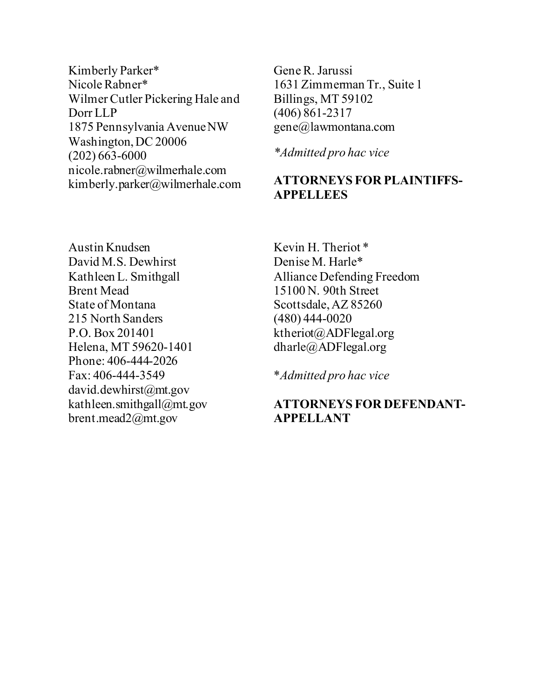Kimberly Parker\* Nicole Rabner\* Wilmer Cutler Pickering Hale and Dorr LLP 1875 Pennsylvania Avenue NW Washington, DC 20006 (202) 663-6000 nicole.rabner@wilmerhale.com kimberly.parker@wilmerhale.com

Gene R. Jarussi 1631 Zimmerman Tr., Suite 1 Billings, MT 59102 (406) 861-2317 gene@lawmontana.com

*\*Admitted pro hac vice*

### **ATTORNEYS FOR PLAINTIFFS-APPELLEES**

Austin Knudsen David M.S. Dewhirst Kathleen L. Smithgall Brent Mead State of Montana 215 North Sanders P.O. Box 201401 Helena, MT 59620-1401 Phone: 406-444-2026 Fax: 406-444-3549 david.dewhirst@mt.gov kathleen.smithgall@mt.gov brent.mead2@mt.gov

Kevin H. Theriot \* Denise M. Harle\* Alliance Defending Freedom 15100 N. 90th Street Scottsdale, AZ 85260 (480) 444-0020 ktheriot@ADFlegal.org dharle@ADFlegal.org

\**Admitted pro hac vice*

### **ATTORNEYS FOR DEFENDANT-APPELLANT**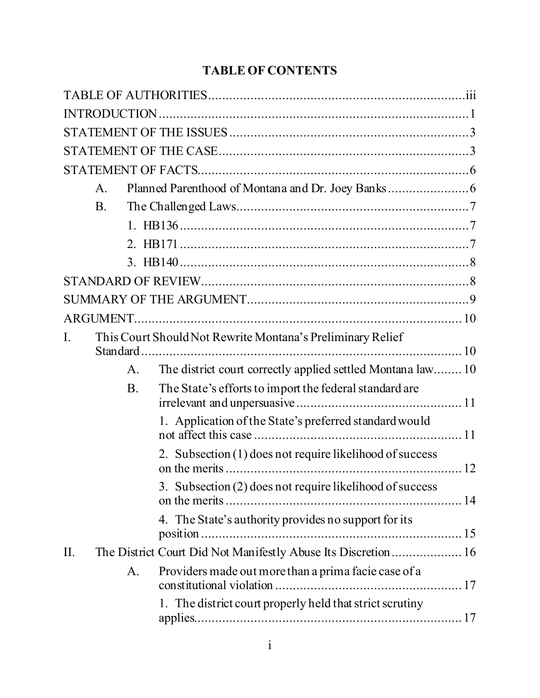# **TABLE OF CONTENTS**

|     | $\mathsf{A}.$ |           |                                                                |  |
|-----|---------------|-----------|----------------------------------------------------------------|--|
|     | <b>B.</b>     |           |                                                                |  |
|     |               |           |                                                                |  |
|     |               |           |                                                                |  |
|     |               |           |                                                                |  |
|     |               |           |                                                                |  |
|     |               |           |                                                                |  |
|     | ARGUMENT.     |           |                                                                |  |
| I.  |               |           | This Court Should Not Rewrite Montana's Preliminary Relief     |  |
|     |               | A.        | The district court correctly applied settled Montana law 10    |  |
|     |               | <b>B.</b> | The State's efforts to import the federal standard are         |  |
|     |               |           | 1. Application of the State's preferred standard would         |  |
|     |               |           | 2. Subsection (1) does not require likelihood of success       |  |
|     |               |           | 3. Subsection (2) does not require likelihood of success       |  |
|     |               |           | 4. The State's authority provides no support for its           |  |
| II. |               |           | The District Court Did Not Manifestly Abuse Its Discretion  16 |  |
|     |               | A.        | Providers made out more than a prima facie case of a           |  |
|     |               |           | 1. The district court properly held that strict scrutiny       |  |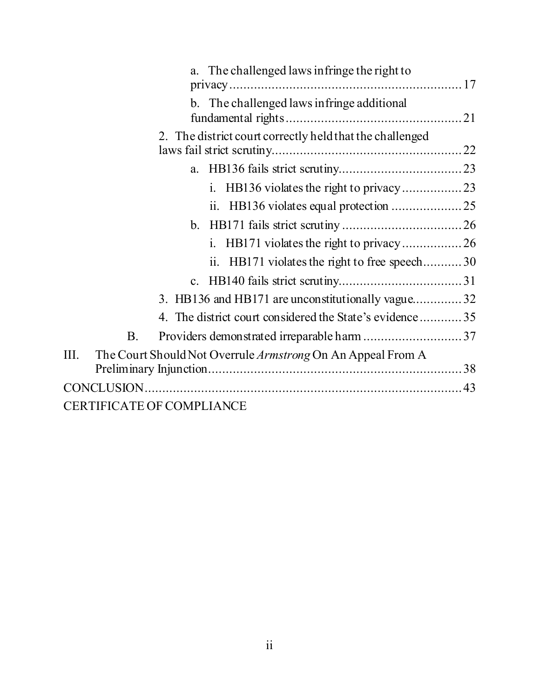| a. The challenged laws in fringe the right to                       |
|---------------------------------------------------------------------|
|                                                                     |
| b. The challenged laws in fringe additional                         |
|                                                                     |
| 2. The district court correctly held that the challenged            |
|                                                                     |
| a.                                                                  |
|                                                                     |
|                                                                     |
|                                                                     |
|                                                                     |
| ii. HB171 violates the right to free speech30                       |
|                                                                     |
| 3. HB136 and HB171 are unconstitutionally vague32                   |
| 4. The district court considered the State's evidence35             |
| <b>B.</b>                                                           |
| III.<br>The Court Should Not Overrule Armstrong On An Appeal From A |
|                                                                     |
|                                                                     |
| <b>CERTIFICATE OF COMPLIANCE</b>                                    |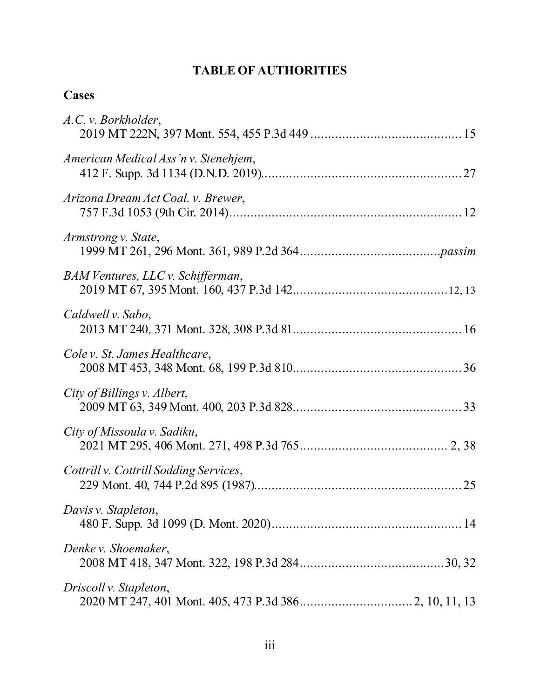## **TABLE OF AUTHORITIES**

# **Cases**

| A.C. v. Borkholder,                    |
|----------------------------------------|
| American Medical Ass'n v. Stenehjem,   |
| Arizona Dream Act Coal. v. Brewer,     |
| Armstrong v. State,                    |
| BAM Ventures, LLC v. Schifferman,      |
| Caldwell v. Sabo,                      |
| Cole v. St. James Healthcare,          |
| City of Billings v. Albert,            |
| City of Missoula v. Sadiku,            |
| Cottrill v. Cottrill Sodding Services, |
| Davis v. Stapleton,                    |
| Denke v. Shoemaker,                    |
| Driscoll v. Stapleton,                 |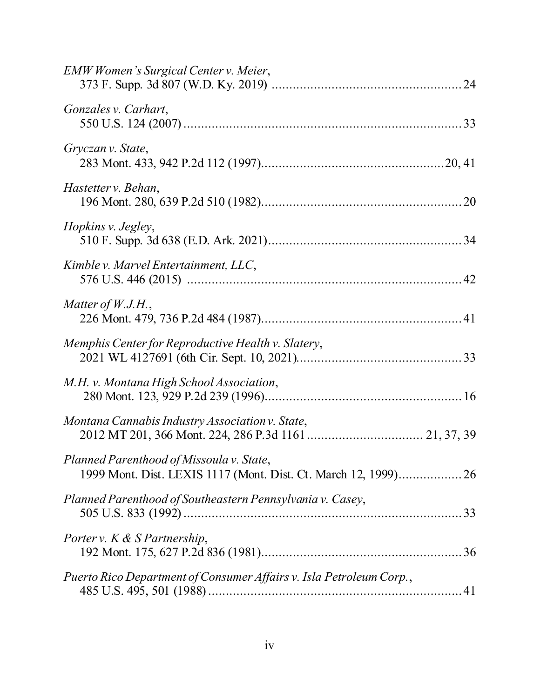| EMW Women's Surgical Center v. Meier,                                                                       |  |
|-------------------------------------------------------------------------------------------------------------|--|
| Gonzales v. Carhart,                                                                                        |  |
| Gryczan v. State,                                                                                           |  |
| Hastetter v. Behan,                                                                                         |  |
| Hopkins v. Jegley,                                                                                          |  |
| Kimble v. Marvel Entertainment, LLC,                                                                        |  |
| Matter of $W.J.H.,$                                                                                         |  |
| Memphis Center for Reproductive Health v. Slatery,                                                          |  |
| M.H. v. Montana High School Association,                                                                    |  |
| Montana Cannabis Industry Association v. State,                                                             |  |
| Planned Parenthood of Missoula v. State,<br>1999 Mont. Dist. LEXIS 1117 (Mont. Dist. Ct. March 12, 1999) 26 |  |
| Planned Parenthood of Southeastern Pennsylvania v. Casey,                                                   |  |
| Porter v. K & S Partnership,                                                                                |  |
| Puerto Rico Department of Consumer Affairs v. Isla Petroleum Corp.,                                         |  |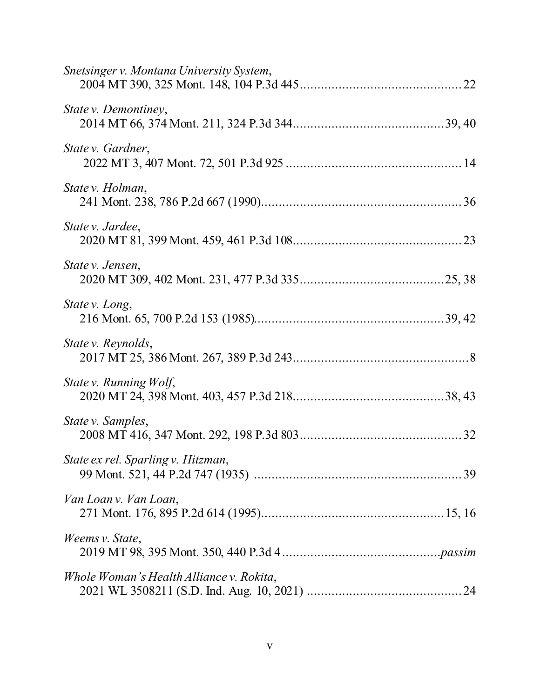| Snetsinger v. Montana University System, |
|------------------------------------------|
| State v. Demontiney,                     |
| State v. Gardner,                        |
| State v. Holman,                         |
| State v. Jardee,                         |
| State v. Jensen,                         |
| State v. Long,                           |
| State v. Reynolds,                       |
| State v. Running Wolf,                   |
| State v. Samples,                        |
| State ex rel. Sparling v. Hitzman,       |
| Van Loan v. Van Loan,                    |
| Weems v. State,                          |
| Whole Woman's Health Alliance v. Rokita, |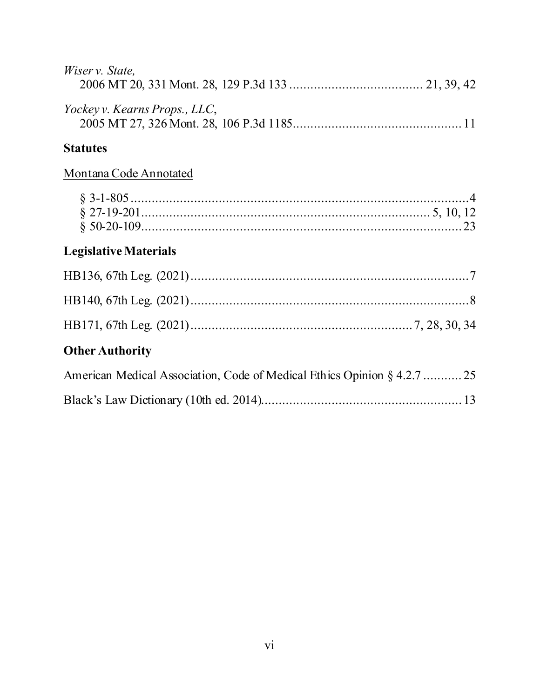| Wiser v. State,               |  |
|-------------------------------|--|
| Yockey v. Kearns Props., LLC, |  |
| <b>Statutes</b>               |  |

# Montana Code Annotated

# **Legislative Materials**

# **Other Authority**

| American Medical Association, Code of Medical Ethics Opinion § 4.2.7  25 |  |
|--------------------------------------------------------------------------|--|
|                                                                          |  |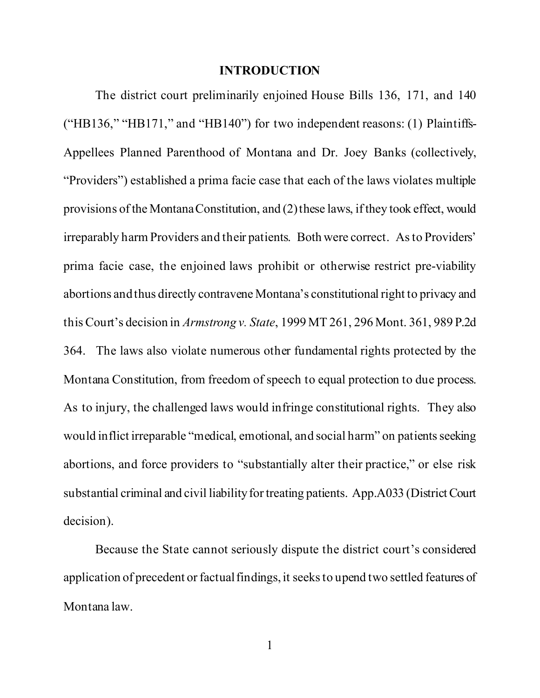#### **INTRODUCTION**

The district court preliminarily enjoined House Bills 136, 171, and 140 ("HB136," "HB171," and "HB140") for two independent reasons: (1) Plaintiffs-Appellees Planned Parenthood of Montana and Dr. Joey Banks (collectively, "Providers") established a prima facie case that each of the laws violates multiple provisions of the Montana Constitution, and (2) these laws, if they took effect, would irreparably harm Providers and their patients. Both were correct. As to Providers' prima facie case, the enjoined laws prohibit or otherwise restrict pre-viability abortions and thus directly contravene Montana's constitutional right to privacy and this Court's decision in *Armstrong v. State*, 1999 MT 261, 296 Mont. 361, 989 P.2d 364. The laws also violate numerous other fundamental rights protected by the Montana Constitution, from freedom of speech to equal protection to due process. As to injury, the challenged laws would infringe constitutional rights. They also would inflict irreparable "medical, emotional, and social harm" on patients seeking abortions, and force providers to "substantially alter their practice," or else risk substantial criminal and civil liability for treating patients. App.A033 (District Court decision).

Because the State cannot seriously dispute the district court's considered application of precedent or factual findings, it seeks to upend two settled features of Montana law.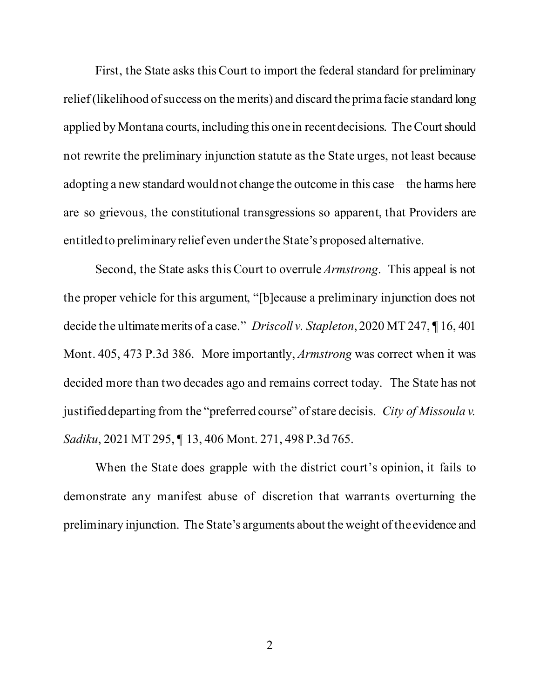First, the State asks this Court to import the federal standard for preliminary relief (likelihood of success on the merits) and discard the prima facie standard long applied by Montana courts, including this one in recent decisions. The Court should not rewrite the preliminary injunction statute as the State urges, not least because adopting a new standard would not change the outcome in this case—the harms here are so grievous, the constitutional transgressions so apparent, that Providers are entitled to preliminary relief even under the State's proposed alternative.

Second, the State asks this Court to overrule *Armstrong*. This appeal is not the proper vehicle for this argument, "[b]ecause a preliminary injunction does not decide the ultimate merits of a case." *Driscoll v. Stapleton*, 2020 MT 247, ¶ 16, 401 Mont. 405, 473 P.3d 386. More importantly, *Armstrong* was correct when it was decided more than two decades ago and remains correct today. The State has not justified departing from the "preferred course" of stare decisis. *City of Missoula v. Sadiku*, 2021 MT 295, ¶ 13, 406 Mont. 271, 498 P.3d 765.

When the State does grapple with the district court's opinion, it fails to demonstrate any manifest abuse of discretion that warrants overturning the preliminary injunction. The State's arguments about the weight of the evidence and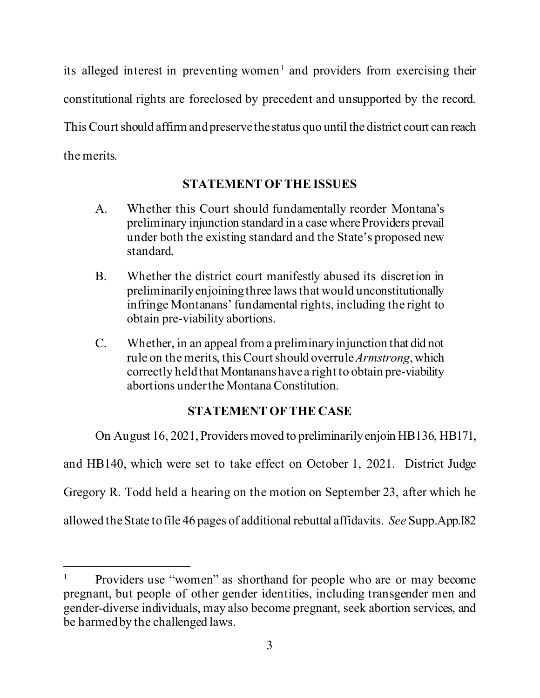its alleged interest in preventing women<sup>1</sup> and providers from exercising their constitutional rights are foreclosed by precedent and unsupported by the record. This Court should affirm and preserve the status quo until the district court can reach the merits.

### **STATEMENT OF THE ISSUES**

- A. Whether this Court should fundamentally reorder Montana's preliminary injunction standard in a case where Providers prevail under both the existing standard and the State's proposed new standard.
- B. Whether the district court manifestly abused its discretion in preliminarily enjoining three laws that would unconstitutionally infringe Montanans' fundamental rights, including the right to obtain pre-viability abortions.
- C. Whether, in an appeal from a preliminary injunction that did not rule on the merits, this Court should overrule *Armstrong*, which correctly held that Montanans have a right to obtain pre-viability abortions under the Montana Constitution.

## **STATEMENT OF THE CASE**

On August 16, 2021, Providers moved to preliminarily enjoin HB136, HB171,

and HB140, which were set to take effect on October 1, 2021. District Judge

Gregory R. Todd held a hearing on the motion on September 23, after which he

allowed the State to file 46 pages of additional rebuttal affidavits. *See* Supp.App.I82

<sup>&</sup>lt;sup>1</sup> Providers use "women" as shorthand for people who are or may become pregnant, but people of other gender identities, including transgender men and gender-diverse individuals, may also become pregnant, seek abortion services, and be harmed by the challenged laws.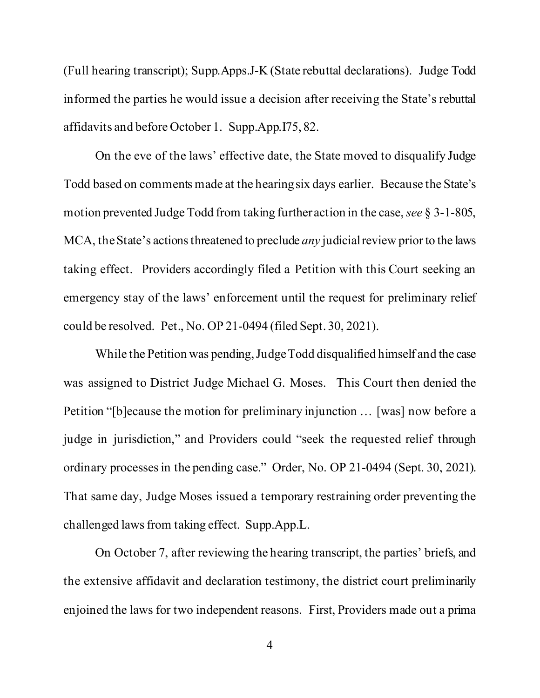(Full hearing transcript); Supp.Apps.J-K (State rebuttal declarations). Judge Todd informed the parties he would issue a decision after receiving the State's rebuttal affidavits and before October 1. Supp.App.I75, 82.

On the eve of the laws' effective date, the State moved to disqualify Judge Todd based on comments made at the hearing six days earlier. Because the State's motion prevented Judge Todd from taking further action in the case, *see* § 3-1-805, MCA, the State's actions threatened to preclude *any* judicial review prior to the laws taking effect. Providers accordingly filed a Petition with this Court seeking an emergency stay of the laws' enforcement until the request for preliminary relief could be resolved. Pet., No. OP 21-0494 (filed Sept. 30, 2021).

While the Petition was pending, Judge Todd disqualified himself and the case was assigned to District Judge Michael G. Moses. This Court then denied the Petition "[b]ecause the motion for preliminary injunction … [was] now before a judge in jurisdiction," and Providers could "seek the requested relief through ordinary processes in the pending case." Order, No. OP 21-0494 (Sept. 30, 2021). That same day, Judge Moses issued a temporary restraining order preventing the challenged laws from taking effect. Supp.App.L.

On October 7, after reviewing the hearing transcript, the parties' briefs, and the extensive affidavit and declaration testimony, the district court preliminarily enjoined the laws for two independent reasons. First, Providers made out a prima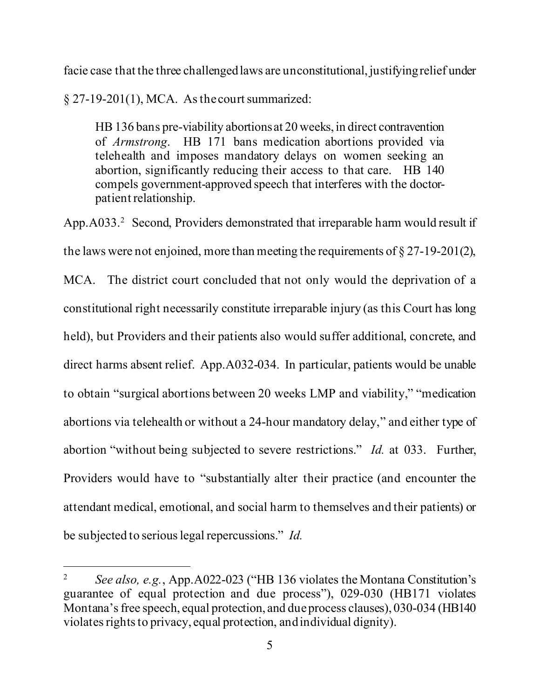facie case that the three challenged laws are unconstitutional, justifying relief under

 $\S 27-19-201(1)$ , MCA. As the court summarized:

HB 136 bans pre-viability abortions at 20 weeks, in direct contravention of *Armstrong*. HB 171 bans medication abortions provided via telehealth and imposes mandatory delays on women seeking an abortion, significantly reducing their access to that care. HB 140 compels government-approved speech that interferes with the doctorpatient relationship.

App. A033.<sup>2</sup> Second, Providers demonstrated that irreparable harm would result if the laws were not enjoined, more than meeting the requirements of  $\S 27$ -19-201(2), MCA. The district court concluded that not only would the deprivation of a constitutional right necessarily constitute irreparable injury (as this Court has long held), but Providers and their patients also would suffer additional, concrete, and direct harms absent relief. App.A032-034. In particular, patients would be unable to obtain "surgical abortions between 20 weeks LMP and viability," "medication abortions via telehealth or without a 24-hour mandatory delay," and either type of abortion "without being subjected to severe restrictions." *Id.* at 033. Further, Providers would have to "substantially alter their practice (and encounter the attendant medical, emotional, and social harm to themselves and their patients) or be subjected to serious legal repercussions." *Id.*

<sup>&</sup>lt;sup>2</sup> *See also, e.g., App.A022-023* ("HB 136 violates the Montana Constitution's guarantee of equal protection and due process"), 029-030 (HB171 violates Montana's free speech, equal protection, and due process clauses), 030-034 (HB140 violates rights to privacy, equal protection, and individual dignity).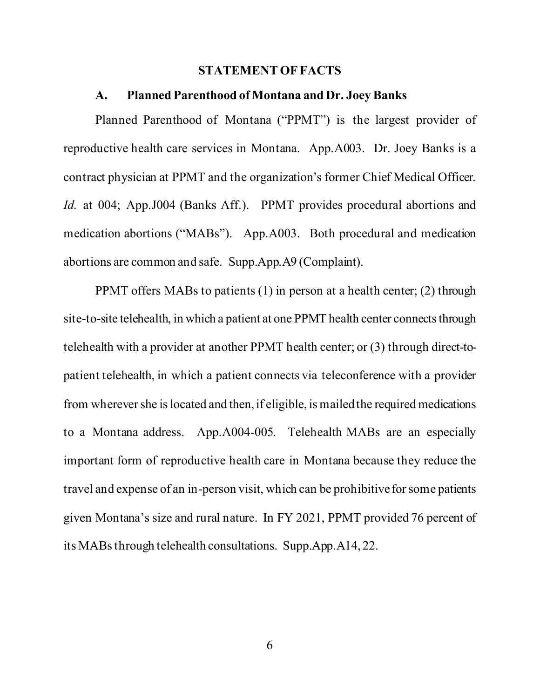#### **STATEMENT OF FACTS**

#### **A. Planned Parenthood of Montana and Dr. Joey Banks**

Planned Parenthood of Montana ("PPMT") is the largest provider of reproductive health care services in Montana. App.A003. Dr. Joey Banks is a contract physician at PPMT and the organization's former Chief Medical Officer. *Id.* at 004; App.J004 (Banks Aff.). PPMT provides procedural abortions and medication abortions ("MABs"). App.A003. Both procedural and medication abortions are common and safe. Supp.App.A9 (Complaint).

PPMT offers MABs to patients (1) in person at a health center; (2) through site-to-site telehealth, in which a patient at one PPMT health center connects through telehealth with a provider at another PPMT health center; or (3) through direct-topatient telehealth, in which a patient connects via teleconference with a provider from wherever she is located and then, if eligible, is mailed the required medications to a Montana address. App.A004-005. Telehealth MABs are an especially important form of reproductive health care in Montana because they reduce the travel and expense of an in-person visit, which can be prohibitive for some patients given Montana's size and rural nature. In FY 2021, PPMT provided 76 percent of its MABs through telehealth consultations. Supp.App.A14, 22.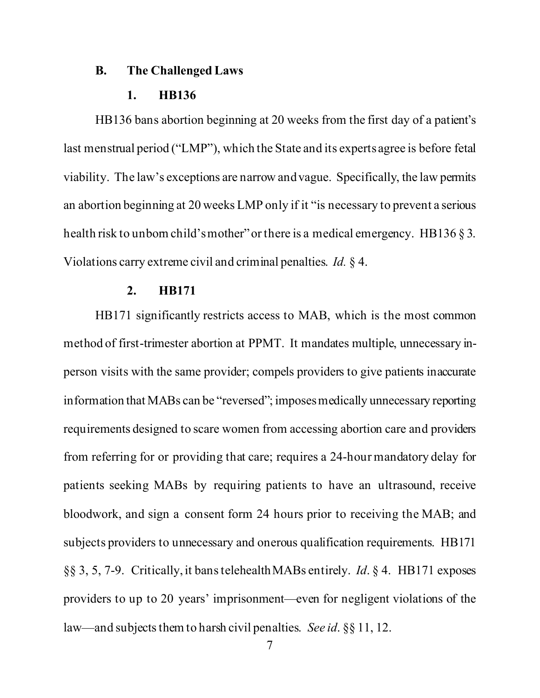#### **B. The Challenged Laws**

#### **1. HB136**

HB136 bans abortion beginning at 20 weeks from the first day of a patient's last menstrual period ("LMP"), which the State and its experts agree is before fetal viability. The law's exceptions are narrow and vague. Specifically, the law permits an abortion beginning at 20 weeks LMP only if it "is necessary to prevent a serious health risk to unborn child's mother" or there is a medical emergency. HB136 § 3. Violations carry extreme civil and criminal penalties. *Id.* § 4.

#### **2. HB171**

HB171 significantly restricts access to MAB, which is the most common method of first-trimester abortion at PPMT. It mandates multiple, unnecessary inperson visits with the same provider; compels providers to give patients inaccurate information that MABs can be "reversed"; imposes medically unnecessary reporting requirements designed to scare women from accessing abortion care and providers from referring for or providing that care; requires a 24-hour mandatory delay for patients seeking MABs by requiring patients to have an ultrasound, receive bloodwork, and sign a consent form 24 hours prior to receiving the MAB; and subjects providers to unnecessary and onerous qualification requirements. HB171 §§ 3, 5, 7-9. Critically, it bans telehealth MABs entirely. *Id*. § 4. HB171 exposes providers to up to 20 years' imprisonment—even for negligent violations of the law—and subjects them to harsh civil penalties. *See id*. §§ 11, 12.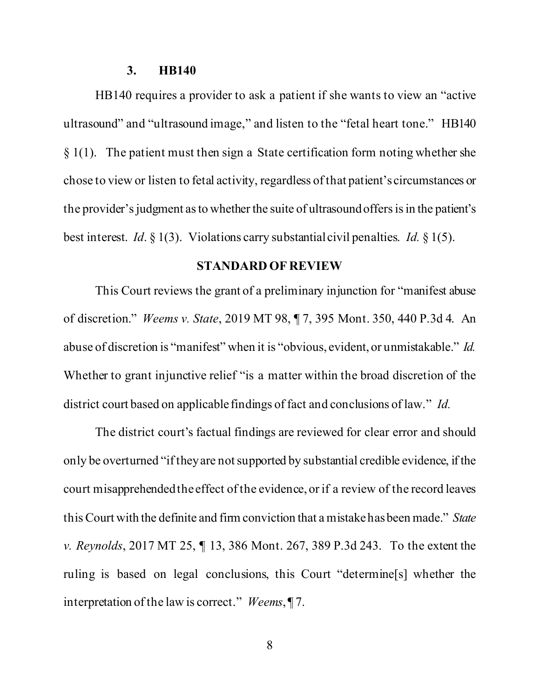#### **3. HB140**

HB140 requires a provider to ask a patient if she wants to view an "active ultrasound" and "ultrasound image," and listen to the "fetal heart tone." HB140  $§$  1(1). The patient must then sign a State certification form noting whether she chose to view or listen to fetal activity, regardless of that patient's circumstances or the provider's judgment as to whether the suite of ultrasound offers is in the patient's best interest. *Id*. § 1(3). Violations carry substantial civil penalties. *Id.* § 1(5).

#### **STANDARD OF REVIEW**

This Court reviews the grant of a preliminary injunction for "manifest abuse of discretion." *Weems v. State*, 2019 MT 98, ¶ 7, 395 Mont. 350, 440 P.3d 4. An abuse of discretion is "manifest" when it is "obvious, evident, or unmistakable." *Id.* Whether to grant injunctive relief "is a matter within the broad discretion of the district court based on applicable findings of fact and conclusions of law." *Id.*

The district court's factual findings are reviewed for clear error and should only be overturned "if they are not supported by substantial credible evidence, if the court misapprehended the effect of the evidence, or if a review of the record leaves this Court with the definite and firm conviction that a mistake has been made." *State v. Reynolds*, 2017 MT 25, ¶ 13, 386 Mont. 267, 389 P.3d 243. To the extent the ruling is based on legal conclusions, this Court "determine[s] whether the interpretation of the law is correct." *Weems*, ¶ 7.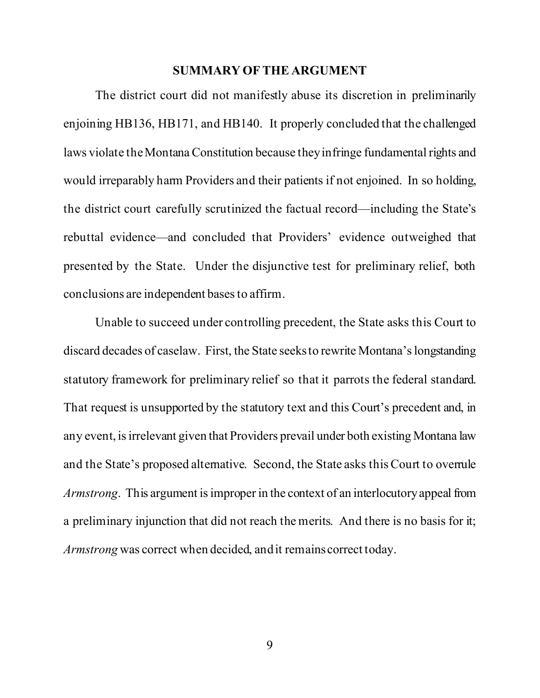#### **SUMMARY OF THE ARGUMENT**

The district court did not manifestly abuse its discretion in preliminarily enjoining HB136, HB171, and HB140. It properly concluded that the challenged laws violate the Montana Constitution because they infringe fundamental rights and would irreparably harm Providers and their patients if not enjoined. In so holding, the district court carefully scrutinized the factual record—including the State's rebuttal evidence—and concluded that Providers' evidence outweighed that presented by the State. Under the disjunctive test for preliminary relief, both conclusions are independent bases to affirm.

Unable to succeed under controlling precedent, the State asks this Court to discard decades of caselaw. First, the State seeks to rewrite Montana's longstanding statutory framework for preliminary relief so that it parrots the federal standard. That request is unsupported by the statutory text and this Court's precedent and, in any event, is irrelevant given that Providers prevail under both existing Montana law and the State's proposed alternative. Second, the State asks this Court to overrule *Armstrong*. This argument is improper in the context of an interlocutory appeal from a preliminary injunction that did not reach the merits. And there is no basis for it; *Armstrong* was correct when decided, and it remains correct today.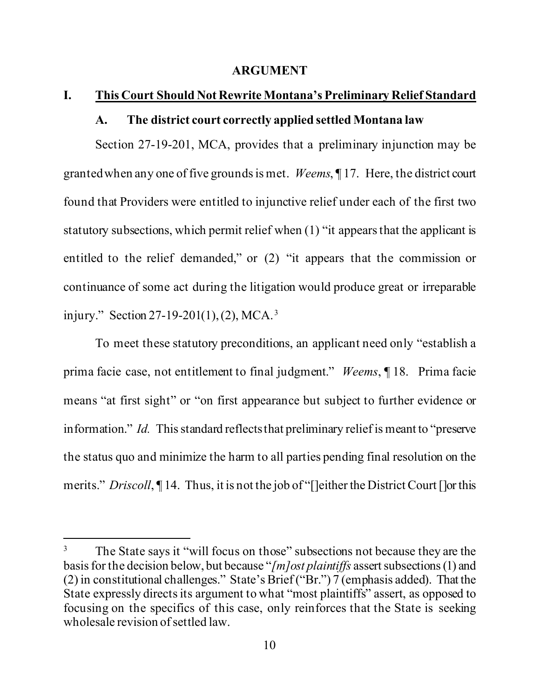#### **ARGUMENT**

#### **I. This Court Should Not Rewrite Montana's Preliminary Relief Standard**

### **A. The district court correctly applied settled Montana law**

Section 27-19-201, MCA, provides that a preliminary injunction may be granted when any one of five grounds is met. *Weems*, ¶ 17. Here, the district court found that Providers were entitled to injunctive relief under each of the first two statutory subsections, which permit relief when (1) "it appears that the applicant is entitled to the relief demanded," or (2) "it appears that the commission or continuance of some act during the litigation would produce great or irreparable injury." Section 27-19-201(1), (2), MCA.<sup>3</sup>

To meet these statutory preconditions, an applicant need only "establish a prima facie case, not entitlement to final judgment." *Weems*, ¶ 18. Prima facie means "at first sight" or "on first appearance but subject to further evidence or information." *Id.* This standard reflects that preliminary relief is meant to "preserve the status quo and minimize the harm to all parties pending final resolution on the merits." *Driscoll*, ¶ 14. Thus, it is not the job of "[]either the District Court []or this

<sup>&</sup>lt;sup>3</sup> The State says it "will focus on those" subsections not because they are the basis for the decision below, but because "*[m]ost plaintiffs* assert subsections (1) and (2) in constitutional challenges." State's Brief ("Br.") 7 (emphasis added). That the State expressly directs its argument to what "most plaintiffs" assert, as opposed to focusing on the specifics of this case, only reinforces that the State is seeking wholesale revision of settled law.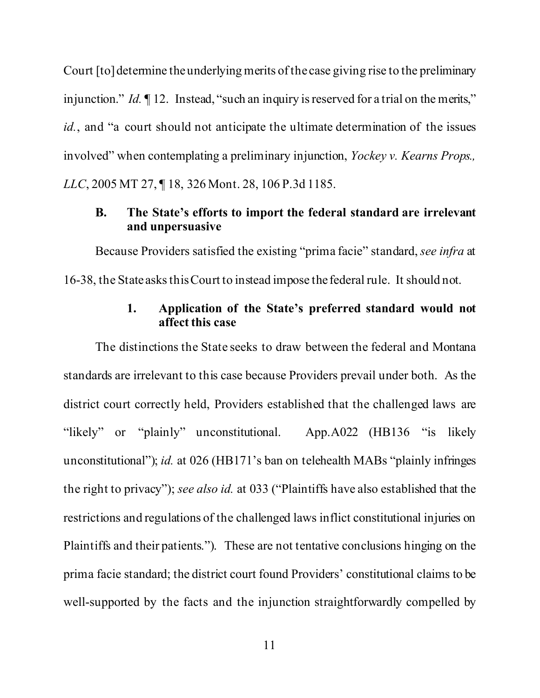Court [to] determine the underlying merits of the case giving rise to the preliminary injunction." *Id.* 12. Instead, "such an inquiry is reserved for a trial on the merits," *id.*, and "a court should not anticipate the ultimate determination of the issues involved" when contemplating a preliminary injunction, *Yockey v. Kearns Props., LLC*, 2005 MT 27, ¶ 18, 326 Mont. 28, 106 P.3d 1185.

### **B. The State's efforts to import the federal standard are irrelevant and unpersuasive**

Because Providers satisfied the existing "prima facie" standard, *see infra* at 16-38, the State asks this Court to instead impose the federal rule. It should not.

### **1. Application of the State's preferred standard would not affect this case**

The distinctions the State seeks to draw between the federal and Montana standards are irrelevant to this case because Providers prevail under both. As the district court correctly held, Providers established that the challenged laws are "likely" or "plainly" unconstitutional. App.A022 (HB136 "is likely" unconstitutional"); *id.* at 026 (HB171's ban on telehealth MABs "plainly infringes the right to privacy"); *see also id.* at 033 ("Plaintiffs have also established that the restrictions and regulations of the challenged laws inflict constitutional injuries on Plaintiffs and their patients."). These are not tentative conclusions hinging on the prima facie standard; the district court found Providers' constitutional claims to be well-supported by the facts and the injunction straightforwardly compelled by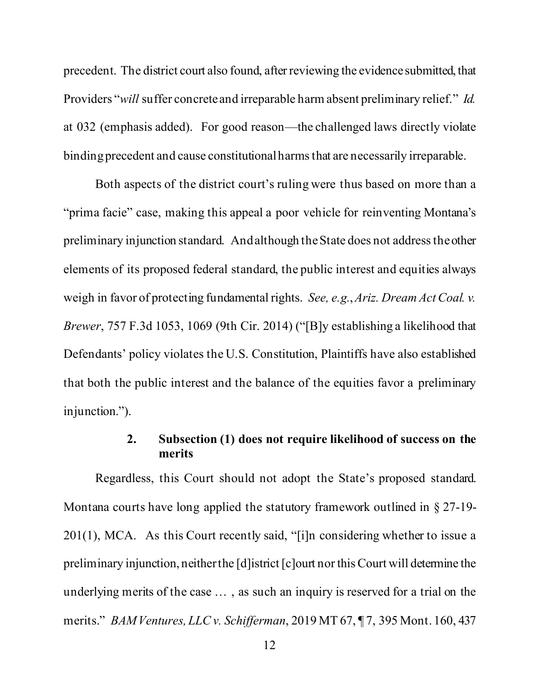precedent. The district court also found, after reviewing the evidence submitted, that Providers "*will* suffer concrete and irreparable harm absent preliminary relief." *Id.* at 032 (emphasis added). For good reason—the challenged laws directly violate binding precedent and cause constitutional harms that are necessarily irreparable.

Both aspects of the district court's ruling were thus based on more than a "prima facie" case, making this appeal a poor vehicle for reinventing Montana's preliminary injunction standard. And although the State does not address the other elements of its proposed federal standard, the public interest and equities always weigh in favor of protecting fundamental rights. *See, e.g.*, *Ariz. Dream Act Coal. v. Brewer*, 757 F.3d 1053, 1069 (9th Cir. 2014) ("[B]y establishing a likelihood that Defendants' policy violates the U.S. Constitution, Plaintiffs have also established that both the public interest and the balance of the equities favor a preliminary injunction.").

### **2. Subsection (1) does not require likelihood of success on the merits**

Regardless, this Court should not adopt the State's proposed standard. Montana courts have long applied the statutory framework outlined in § 27-19- 201(1), MCA. As this Court recently said, "[i]n considering whether to issue a preliminary injunction, neither the [d]istrict [c]ourt nor this Court will determine the underlying merits of the case … , as such an inquiry is reserved for a trial on the merits." *BAM Ventures, LLC v. Schifferman*, 2019 MT 67, ¶ 7, 395 Mont. 160, 437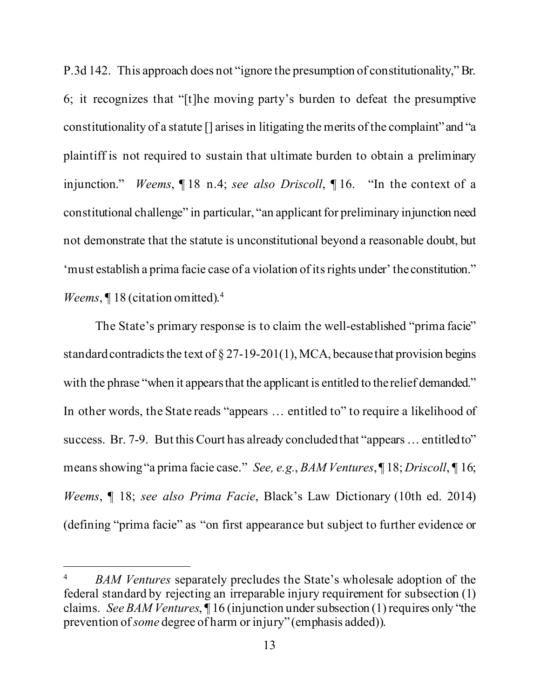P.3d 142. This approach does not "ignore the presumption of constitutionality," Br. 6; it recognizes that "[t]he moving party's burden to defeat the presumptive constitutionality of a statute [] arises in litigating the merits of the complaint" and "a plaintiff is not required to sustain that ultimate burden to obtain a preliminary injunction." *Weems*, ¶ 18 n.4; *see also Driscoll*, ¶ 16. "In the context of a constitutional challenge" in particular, "an applicant for preliminary injunction need not demonstrate that the statute is unconstitutional beyond a reasonable doubt, but 'must establish a prima facie case of a violation of its rights under' the constitution." *Weems*, ¶18 (citation omitted).<sup>4</sup>

The State's primary response is to claim the well-established "prima facie" standard contradicts the text of  $\S 27-19-201(1)$ , MCA, because that provision begins with the phrase "when it appears that the applicant is entitled to the relief demanded." In other words, the State reads "appears … entitled to" to require a likelihood of success. Br. 7-9. But this Court has already concluded that "appears ... entitled to" means showing "a prima facie case." *See, e.g.*, *BAM Ventures*, ¶ 18; *Driscoll*, ¶ 16; *Weems*, ¶ 18; *see also Prima Facie*, Black's Law Dictionary (10th ed. 2014) (defining "prima facie" as "on first appearance but subject to further evidence or

<sup>4</sup> *BAM Ventures* separately precludes the State's wholesale adoption of the federal standard by rejecting an irreparable injury requirement for subsection (1) claims. *See BAM Ventures*, ¶ 16 (injunction under subsection (1) requires only "the prevention of *some* degree of harm or injury" (emphasis added)).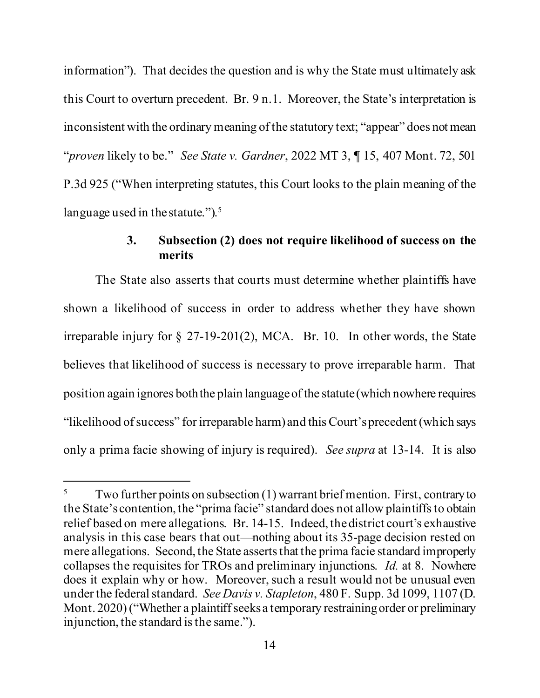information"). That decides the question and is why the State must ultimately ask this Court to overturn precedent. Br. 9 n.1. Moreover, the State's interpretation is inconsistent with the ordinary meaning of the statutory text; "appear" does not mean "*proven* likely to be." *See State v. Gardner*, 2022 MT 3, ¶ 15, 407 Mont. 72, 501 P.3d 925 ("When interpreting statutes, this Court looks to the plain meaning of the language used in the statute."). $5$ 

### **3. Subsection (2) does not require likelihood of success on the merits**

The State also asserts that courts must determine whether plaintiffs have shown a likelihood of success in order to address whether they have shown irreparable injury for § 27-19-201(2), MCA. Br. 10. In other words, the State believes that likelihood of success is necessary to prove irreparable harm. That position again ignores both the plain language of the statute (which nowhere requires "likelihood of success" for irreparable harm) and this Court's precedent (which says only a prima facie showing of injury is required). *See supra* at 13-14. It is also

 $5$  Two further points on subsection (1) warrant brief mention. First, contrary to the State's contention, the "prima facie" standard does not allow plaintiffs to obtain relief based on mere allegations. Br. 14-15. Indeed, thedistrict court's exhaustive analysis in this case bears that out—nothing about its 35-page decision rested on mere allegations. Second, the State asserts that the prima facie standard improperly collapses the requisites for TROs and preliminary injunctions. *Id.* at 8. Nowhere does it explain why or how. Moreover, such a result would not be unusual even under the federal standard. *See Davis v. Stapleton*, 480 F. Supp. 3d 1099, 1107 (D. Mont. 2020) ("Whether a plaintiff seeks a temporary restraining order or preliminary injunction, the standard is the same.").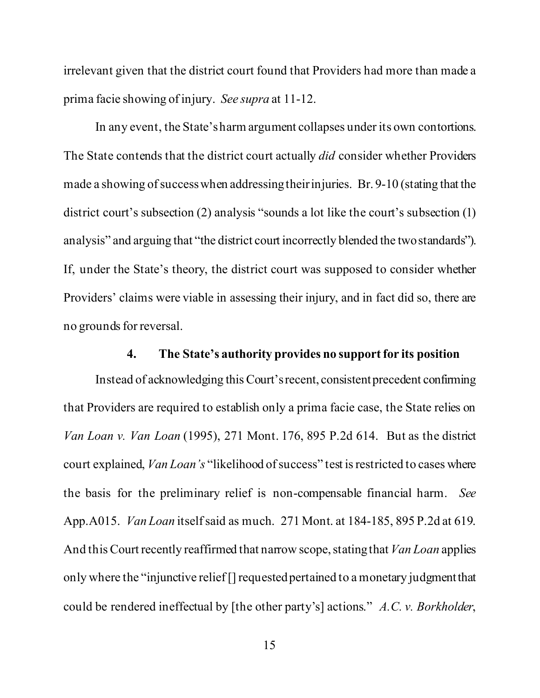irrelevant given that the district court found that Providers had more than made a prima facie showing of injury. *See supra* at 11-12.

In any event, the State's harm argument collapses under its own contortions. The State contends that the district court actually *did* consider whether Providers made a showing of success when addressing their injuries. Br. 9-10 (stating that the district court's subsection (2) analysis "sounds a lot like the court's subsection (1) analysis" and arguing that "the district court incorrectly blended the two standards"). If, under the State's theory, the district court was supposed to consider whether Providers' claims were viable in assessing their injury, and in fact did so, there are no grounds for reversal.

#### **4. The State's authority provides no support for its position**

Instead of acknowledging this Court's recent, consistent precedent confirming that Providers are required to establish only a prima facie case, the State relies on *Van Loan v. Van Loan* (1995), 271 Mont. 176, 895 P.2d 614. But as the district court explained, *Van Loan's* "likelihood of success" test is restricted to cases where the basis for the preliminary relief is non-compensable financial harm. *See*  App.A015. *Van Loan* itself said as much. 271 Mont. at 184-185, 895 P.2d at 619. And this Court recently reaffirmed that narrow scope, stating that *Van Loan* applies only where the "injunctive relief [] requested pertained to a monetary judgment that could be rendered ineffectual by [the other party's] actions." *A.C. v. Borkholder*,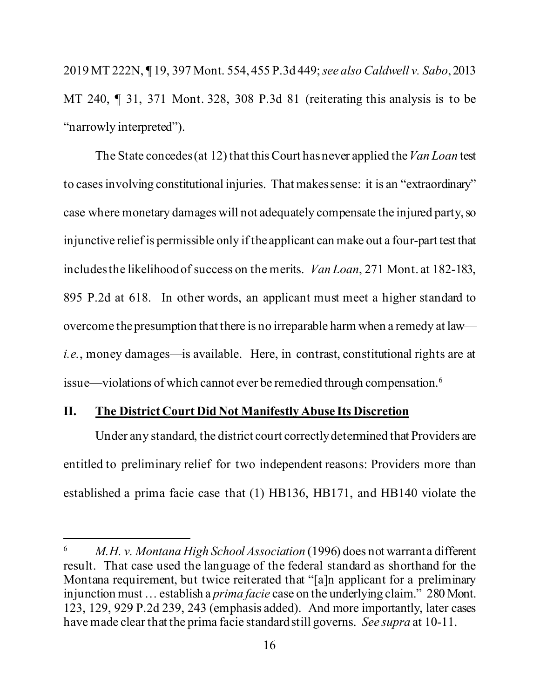2019 MT 222N, ¶ 19, 397 Mont. 554, 455 P.3d 449; *see also Caldwell v. Sabo*, 2013 MT 240, ¶ 31, 371 Mont. 328, 308 P.3d 81 (reiterating this analysis is to be "narrowly interpreted").

The State concedes (at 12) that this Court has never applied the *Van Loan* test to cases involving constitutional injuries. That makes sense: it is an "extraordinary" case where monetary damages will not adequately compensate the injured party, so injunctive relief is permissible only if the applicant can make out a four-part test that includes the likelihood of success on the merits. *Van Loan*, 271 Mont. at 182-183, 895 P.2d at 618. In other words, an applicant must meet a higher standard to overcome the presumption that there is no irreparable harm when a remedy at law *i.e.*, money damages—is available. Here, in contrast, constitutional rights are at issue—violations of which cannot ever be remedied through compensation.6

### **II. The District Court Did Not Manifestly Abuse Its Discretion**

Under any standard, the district court correctly determined that Providers are entitled to preliminary relief for two independent reasons: Providers more than established a prima facie case that (1) HB136, HB171, and HB140 violate the

<sup>6</sup> *M.H. v. Montana High School Association* (1996) does not warrant a different result. That case used the language of the federal standard as shorthand for the Montana requirement, but twice reiterated that "[a]n applicant for a preliminary injunction must … establish a *prima facie* case on the underlying claim." 280 Mont. 123, 129, 929 P.2d 239, 243 (emphasis added). And more importantly, later cases have made clear that the prima facie standard still governs. *See supra* at 10-11.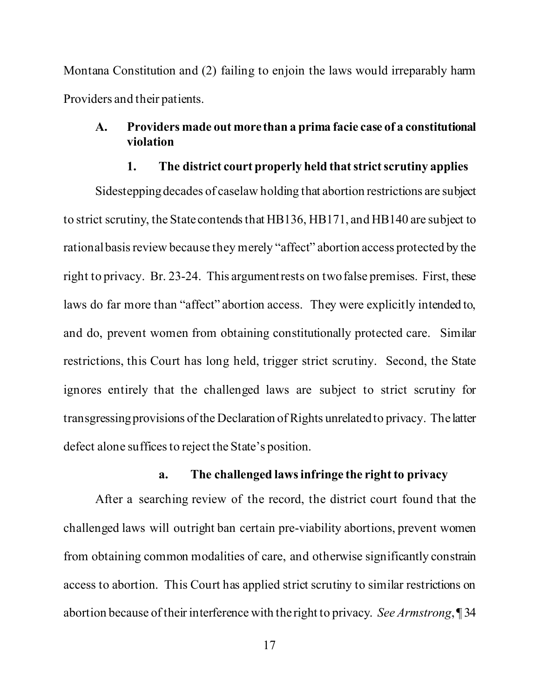Montana Constitution and (2) failing to enjoin the laws would irreparably harm Providers and their patients.

### **A. Providers made out more than a prima facie case of a constitutional violation**

#### **1. The district court properly held that strict scrutiny applies**

Sidestepping decades of caselaw holding that abortion restrictions are subject to strict scrutiny, the State contends that HB136, HB171, and HB140 are subject to rational basis review because they merely "affect" abortion access protected by the right to privacy. Br. 23-24. This argument rests on two false premises. First, these laws do far more than "affect" abortion access. They were explicitly intended to, and do, prevent women from obtaining constitutionally protected care. Similar restrictions, this Court has long held, trigger strict scrutiny. Second, the State ignores entirely that the challenged laws are subject to strict scrutiny for transgressing provisions of the Declaration of Rights unrelated to privacy. The latter defect alone suffices to reject the State's position.

### **a. The challenged laws infringe the right to privacy**

After a searching review of the record, the district court found that the challenged laws will outright ban certain pre-viability abortions, prevent women from obtaining common modalities of care, and otherwise significantly constrain access to abortion. This Court has applied strict scrutiny to similar restrictions on abortion because of their interference with the right to privacy. *See Armstrong*, ¶ 34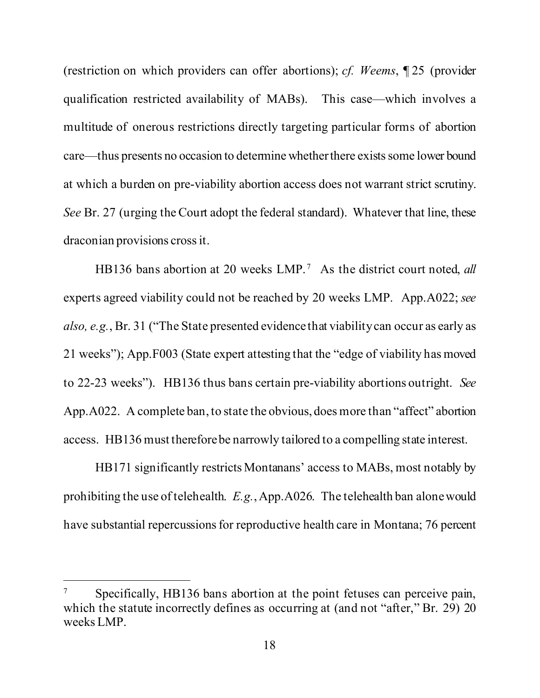(restriction on which providers can offer abortions); *cf. Weems*, ¶ 25 (provider qualification restricted availability of MABs). This case—which involves a multitude of onerous restrictions directly targeting particular forms of abortion care—thus presents no occasion to determine whether there exists some lower bound at which a burden on pre-viability abortion access does not warrant strict scrutiny. *See* Br. 27 (urging the Court adopt the federal standard). Whatever that line, these draconian provisions cross it.

HB136 bans abortion at 20 weeks LMP.<sup>7</sup> As the district court noted, *all* experts agreed viability could not be reached by 20 weeks LMP. App.A022; *see also, e.g.*, Br. 31 ("The State presented evidence that viability can occur as early as 21 weeks"); App.F003 (State expert attesting that the "edge of viability has moved to 22-23 weeks"). HB136 thus bans certain pre-viability abortions outright. *See*  App.A022. A complete ban, to state the obvious, does more than "affect" abortion access. HB136 must therefore be narrowly tailored to a compelling state interest.

HB171 significantly restricts Montanans' access to MABs, most notably by prohibiting the use of telehealth. *E.g.*, App.A026. The telehealth ban alone would have substantial repercussions for reproductive health care in Montana; 76 percent

Specifically, HB136 bans abortion at the point fetuses can perceive pain, which the statute incorrectly defines as occurring at (and not "after," Br. 29) 20 weeks LMP.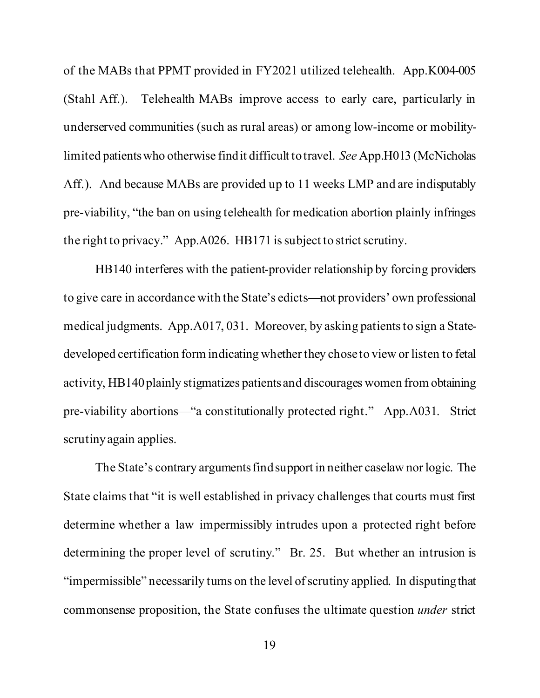of the MABs that PPMT provided in FY2021 utilized telehealth. App.K004-005 (Stahl Aff.). Telehealth MABs improve access to early care, particularly in underserved communities (such as rural areas) or among low-income or mobilitylimited patients who otherwise find it difficult to travel. *See* App.H013 (McNicholas Aff.). And because MABs are provided up to 11 weeks LMP and are indisputably pre-viability, "the ban on using telehealth for medication abortion plainly infringes the right to privacy." App.A026. HB171 is subject to strict scrutiny.

HB140 interferes with the patient-provider relationship by forcing providers to give care in accordance with the State's edicts—not providers' own professional medical judgments. App.A017, 031. Moreover, by asking patients to sign a Statedeveloped certification form indicating whether they chose to view or listen to fetal activity, HB140 plainly stigmatizes patients and discourages women from obtaining pre-viability abortions—"a constitutionally protected right." App.A031. Strict scrutiny again applies.

The State's contrary arguments find support in neither caselaw nor logic. The State claims that "it is well established in privacy challenges that courts must first determine whether a law impermissibly intrudes upon a protected right before determining the proper level of scrutiny." Br. 25. But whether an intrusion is "impermissible" necessarily turns on the level of scrutiny applied. In disputing that commonsense proposition, the State confuses the ultimate question *under* strict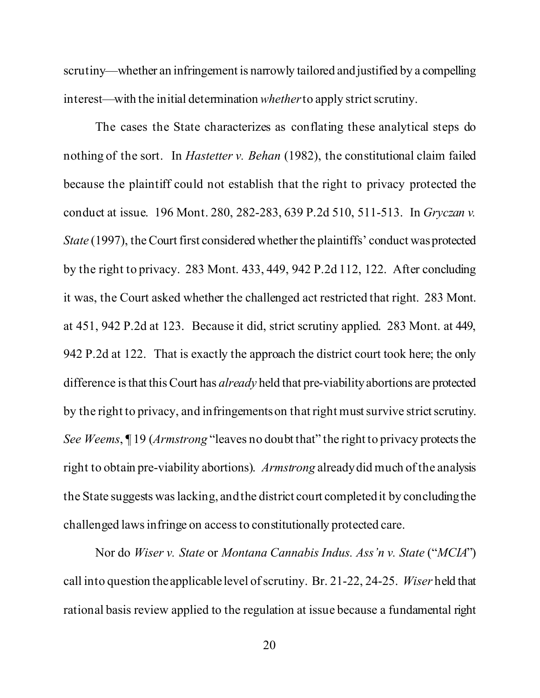scrutiny—whether an infringement is narrowly tailored and justified by a compelling interest—with the initial determination *whether* to apply strict scrutiny.

The cases the State characterizes as conflating these analytical steps do nothing of the sort. In *Hastetter v. Behan* (1982), the constitutional claim failed because the plaintiff could not establish that the right to privacy protected the conduct at issue. 196 Mont. 280, 282-283, 639 P.2d 510, 511-513. In *Gryczan v. State* (1997), the Court first considered whether the plaintiffs' conduct was protected by the right to privacy. 283 Mont. 433, 449, 942 P.2d 112, 122. After concluding it was, the Court asked whether the challenged act restricted that right. 283 Mont. at 451, 942 P.2d at 123. Because it did, strict scrutiny applied. 283 Mont. at 449, 942 P.2d at 122. That is exactly the approach the district court took here; the only difference is that this Court has *already* held that pre-viability abortions are protected by the right to privacy, and infringements on that right must survive strict scrutiny. *See Weems*, ¶ 19 (*Armstrong* "leaves no doubt that" the right to privacy protects the right to obtain pre-viability abortions). *Armstrong* already did much of the analysis the State suggests was lacking, and the district court completed it by concluding the challenged laws infringe on access to constitutionally protected care.

Nor do *Wiser v. State* or *Montana Cannabis Indus. Ass'n v. State* ("*MCIA*") call into question the applicable level of scrutiny. Br. 21-22, 24-25. *Wiser* held that rational basis review applied to the regulation at issue because a fundamental right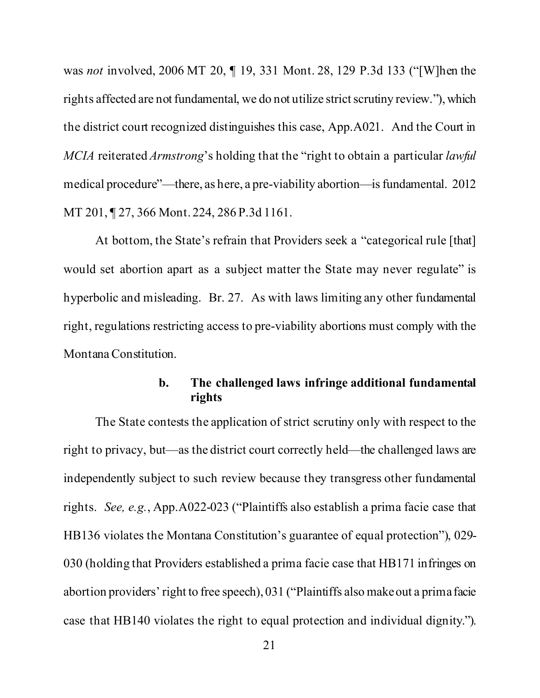was *not* involved, 2006 MT 20, ¶ 19, 331 Mont. 28, 129 P.3d 133 ("[W]hen the rights affected are not fundamental, we do not utilize strict scrutiny review."), which the district court recognized distinguishes this case, App.A021. And the Court in *MCIA* reiterated *Armstrong*'s holding that the "right to obtain a particular *lawful*  medical procedure"—there, as here, a pre-viability abortion—is fundamental. 2012 MT 201, ¶ 27, 366 Mont. 224, 286 P.3d 1161.

At bottom, the State's refrain that Providers seek a "categorical rule [that] would set abortion apart as a subject matter the State may never regulate" is hyperbolic and misleading. Br. 27. As with laws limiting any other fundamental right, regulations restricting access to pre-viability abortions must comply with the Montana Constitution.

### **b. The challenged laws infringe additional fundamental rights**

The State contests the application of strict scrutiny only with respect to the right to privacy, but—as the district court correctly held—the challenged laws are independently subject to such review because they transgress other fundamental rights. *See, e.g.*, App.A022-023 ("Plaintiffs also establish a prima facie case that HB136 violates the Montana Constitution's guarantee of equal protection"), 029- 030 (holding that Providers established a prima facie case that HB171 infringes on abortion providers' right to free speech), 031 ("Plaintiffs also make out a prima facie case that HB140 violates the right to equal protection and individual dignity.").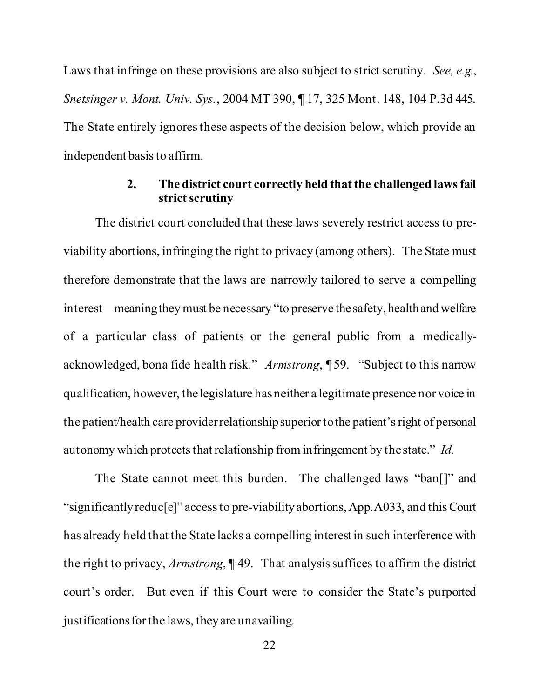Laws that infringe on these provisions are also subject to strict scrutiny. *See, e.g.*, *Snetsinger v. Mont. Univ. Sys.*, 2004 MT 390, ¶ 17, 325 Mont. 148, 104 P.3d 445. The State entirely ignores these aspects of the decision below, which provide an independent basis to affirm.

### **2. The district court correctly held that the challenged laws fail strict scrutiny**

The district court concluded that these laws severely restrict access to previability abortions, infringing the right to privacy (among others). The State must therefore demonstrate that the laws are narrowly tailored to serve a compelling interest—meaning they must be necessary "to preserve the safety, health and welfare of a particular class of patients or the general public from a medicallyacknowledged, bona fide health risk." *Armstrong*, ¶ 59. "Subject to this narrow qualification, however, the legislature has neither a legitimate presence nor voice in the patient/health care provider relationship superior to the patient's right of personal autonomy which protects that relationship from infringement by the state." *Id.*

The State cannot meet this burden. The challenged laws "ban[]" and "significantly reduc[e]" access to pre-viability abortions, App.A033, and this Court has already held that the State lacks a compelling interest in such interference with the right to privacy, *Armstrong*, ¶ 49. That analysis suffices to affirm the district court's order. But even if this Court were to consider the State's purported justifications for the laws, they are unavailing.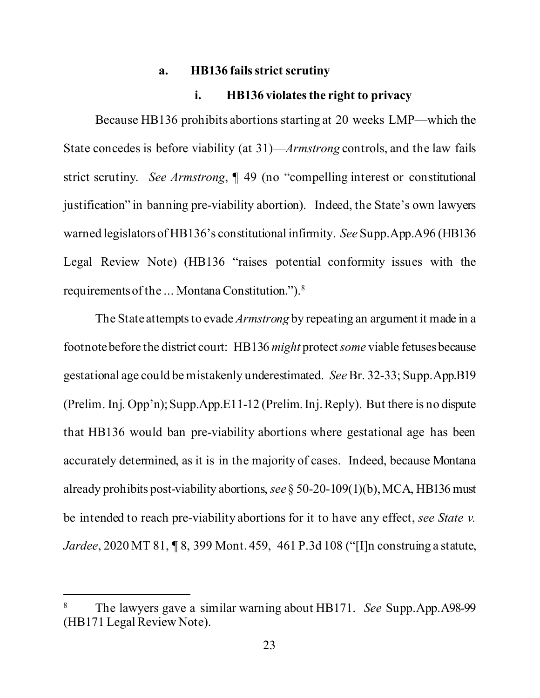#### **a. HB136 fails strict scrutiny**

#### **i. HB136 violates the right to privacy**

Because HB136 prohibits abortions starting at 20 weeks LMP—which the State concedes is before viability (at 31)—*Armstrong* controls, and the law fails strict scrutiny. *See Armstrong*, ¶ 49 (no "compelling interest or constitutional justification" in banning pre-viability abortion). Indeed, the State's own lawyers warned legislators of HB136's constitutional infirmity. *See* Supp.App.A96 (HB136 Legal Review Note) (HB136 "raises potential conformity issues with the requirements of the ... Montana Constitution.").8

The State attempts to evade *Armstrong* by repeating an argument it made in a footnote before the district court: HB136 *might* protect *some* viable fetuses because gestational age could be mistakenly underestimated. *See* Br. 32-33; Supp.App.B19 (Prelim. Inj. Opp'n); Supp.App.E11-12 (Prelim. Inj. Reply). But there is no dispute that HB136 would ban pre-viability abortions where gestational age has been accurately determined, as it is in the majority of cases. Indeed, because Montana already prohibits post-viability abortions, *see* § 50-20-109(1)(b), MCA, HB136 must be intended to reach pre-viability abortions for it to have any effect, *see State v. Jardee*, 2020 MT 81, ¶ 8, 399 Mont. 459, 461 P.3d 108 ("[I]n construing a statute,

<sup>8</sup> The lawyers gave a similar warning about HB171. *See* Supp.App.A98-99 (HB171 Legal Review Note).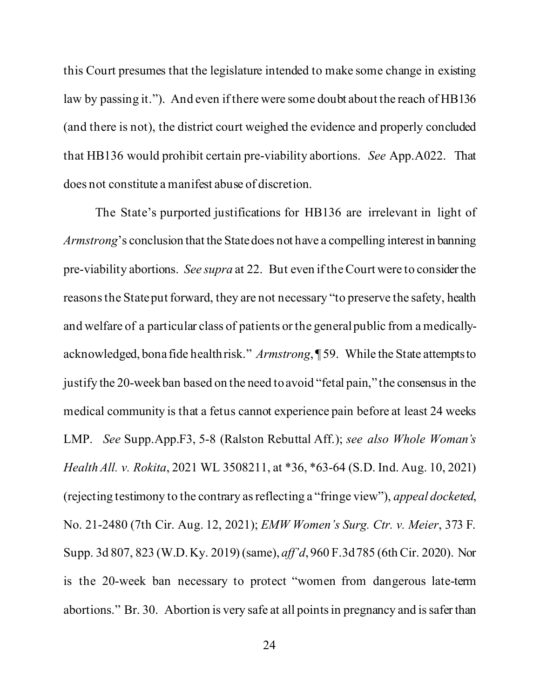this Court presumes that the legislature intended to make some change in existing law by passing it."). And even if there were some doubt about the reach of HB136 (and there is not), the district court weighed the evidence and properly concluded that HB136 would prohibit certain pre-viability abortions. *See* App.A022. That does not constitute a manifest abuse of discretion.

The State's purported justifications for HB136 are irrelevant in light of *Armstrong*'s conclusion that the State does not have a compelling interest in banning pre-viability abortions. *See supra* at 22. But even if the Court were to consider the reasons the State put forward, they are not necessary "to preserve the safety, health and welfare of a particular class of patients or the general public from a medicallyacknowledged, bona fide health risk." *Armstrong*, ¶ 59. While the State attempts to justify the 20-week ban based on the need to avoid "fetal pain," the consensus in the medical community is that a fetus cannot experience pain before at least 24 weeks LMP. *See* Supp.App.F3, 5-8 (Ralston Rebuttal Aff.); *see also Whole Woman's Health All. v. Rokita*, 2021 WL 3508211, at \*36, \*63-64 (S.D. Ind. Aug. 10, 2021) (rejecting testimony to the contrary as reflecting a "fringe view"), *appeal docketed*, No. 21-2480 (7th Cir. Aug. 12, 2021); *EMW Women's Surg. Ctr. v. Meier*, 373 F. Supp. 3d 807, 823 (W.D. Ky. 2019) (same), *aff'd*, 960 F.3d 785 (6th Cir. 2020). Nor is the 20-week ban necessary to protect "women from dangerous late-term abortions." Br. 30. Abortion is very safe at all points in pregnancy and is safer than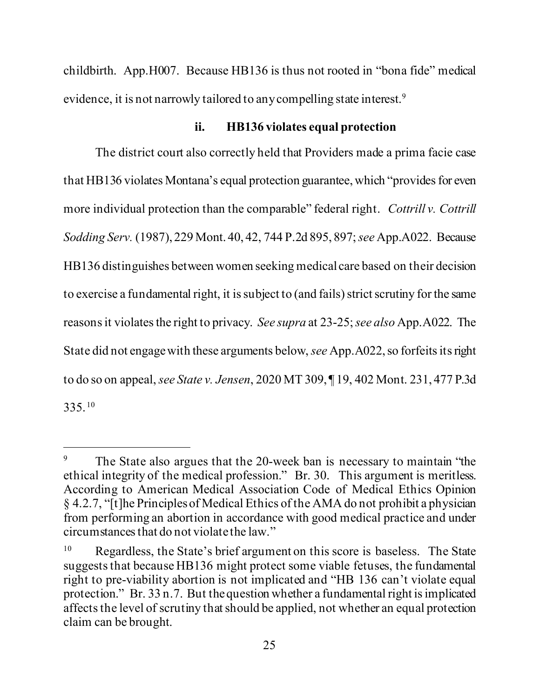childbirth. App.H007. Because HB136 is thus not rooted in "bona fide" medical evidence, it is not narrowly tailored to any compelling state interest.9

### **ii. HB136 violates equal protection**

The district court also correctly held that Providers made a prima facie case that HB136 violates Montana's equal protection guarantee, which "provides for even more individual protection than the comparable" federal right. *Cottrill v. Cottrill Sodding Serv.* (1987), 229 Mont. 40, 42, 744 P.2d 895, 897; *see* App.A022. Because HB136 distinguishes between women seeking medical care based on their decision to exercise a fundamental right, it is subject to (and fails) strict scrutiny for the same reasons it violates the right to privacy. *See supra* at 23-25; *see also* App.A022. The State did not engage with these arguments below, *see* App.A022, so forfeits its right to do so on appeal, *see State v. Jensen*, 2020 MT 309, ¶ 19, 402 Mont. 231, 477 P.3d 335. <sup>10</sup>

<sup>&</sup>lt;sup>9</sup> The State also argues that the 20-week ban is necessary to maintain "the ethical integrity of the medical profession." Br. 30. This argument is meritless. According to American Medical Association Code of Medical Ethics Opinion § 4.2.7, "[t]he Principles of Medical Ethics of the AMA do not prohibit a physician from performing an abortion in accordance with good medical practice and under circumstances that do not violate the law."

<sup>&</sup>lt;sup>10</sup> Regardless, the State's brief argument on this score is baseless. The State suggests that because HB136 might protect some viable fetuses, the fundamental right to pre-viability abortion is not implicated and "HB 136 can't violate equal protection." Br. 33 n.7. But the question whether a fundamental right is implicated affects the level of scrutiny that should be applied, not whether an equal protection claim can be brought.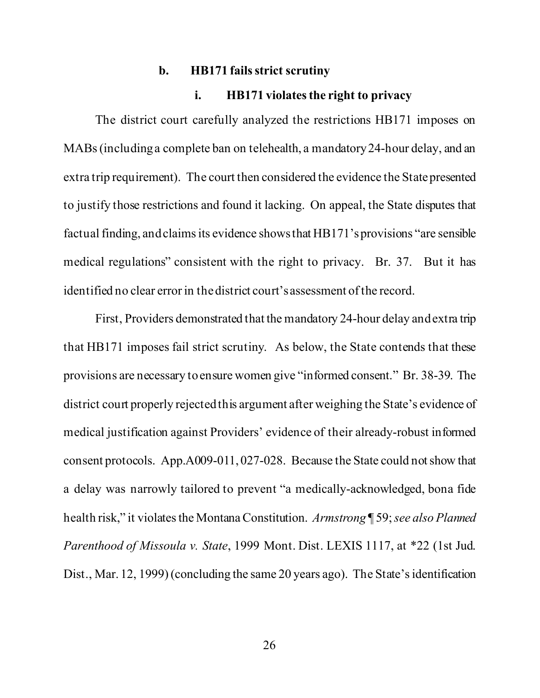#### **b. HB171 fails strict scrutiny**

#### **i. HB171 violates the right to privacy**

The district court carefully analyzed the restrictions HB171 imposes on MABs (including a complete ban on telehealth, a mandatory 24-hour delay, and an extra trip requirement). The court then considered the evidence the State presented to justify those restrictions and found it lacking. On appeal, the State disputes that factual finding, and claims its evidence shows that HB171's provisions "are sensible medical regulations" consistent with the right to privacy. Br. 37. But it has identified no clear error in the district court's assessment of the record.

First, Providers demonstrated that the mandatory 24-hour delay and extra trip that HB171 imposes fail strict scrutiny. As below, the State contends that these provisions are necessary to ensure women give "informed consent." Br. 38-39. The district court properly rejected this argument after weighing the State's evidence of medical justification against Providers' evidence of their already-robust informed consent protocols. App.A009-011, 027-028. Because the State could not show that a delay was narrowly tailored to prevent "a medically-acknowledged, bona fide health risk," it violates the Montana Constitution. *Armstrong* ¶ 59; *see also Planned Parenthood of Missoula v. State*, 1999 Mont. Dist. LEXIS 1117, at \*22 (1st Jud. Dist., Mar. 12, 1999) (concluding the same 20 years ago). The State's identification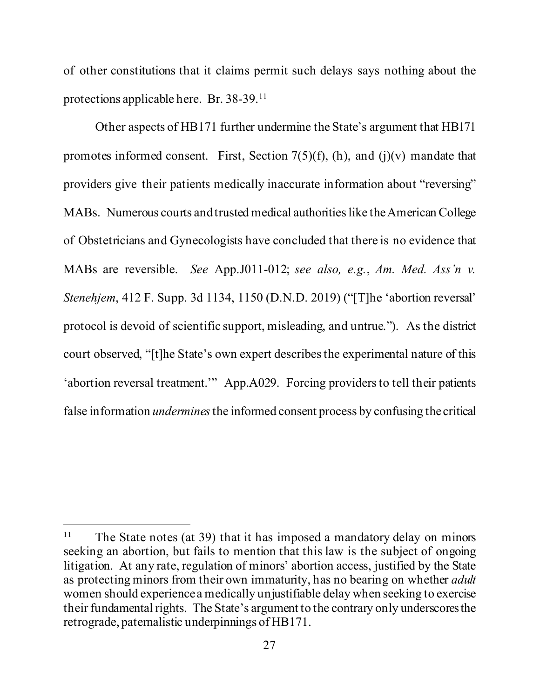of other constitutions that it claims permit such delays says nothing about the protections applicable here. Br. 38-39.11

Other aspects of HB171 further undermine the State's argument that HB171 promotes informed consent. First, Section  $7(5)(f)$ , (h), and (j)(v) mandate that providers give their patients medically inaccurate information about "reversing" MABs. Numerous courts and trusted medical authorities like the American College of Obstetricians and Gynecologists have concluded that there is no evidence that MABs are reversible. *See* App.J011-012; *see also, e.g.*, *Am. Med. Ass'n v. Stenehjem*, 412 F. Supp. 3d 1134, 1150 (D.N.D. 2019) ("[T]he 'abortion reversal' protocol is devoid of scientific support, misleading, and untrue."). As the district court observed, "[t]he State's own expert describes the experimental nature of this 'abortion reversal treatment.'" App.A029. Forcing providers to tell their patients false information *undermines* the informed consent process by confusing the critical

<sup>&</sup>lt;sup>11</sup> The State notes (at 39) that it has imposed a mandatory delay on minors seeking an abortion, but fails to mention that this law is the subject of ongoing litigation. At any rate, regulation of minors' abortion access, justified by the State as protecting minors from their own immaturity, has no bearing on whether *adult*  women should experience a medically unjustifiable delay when seeking to exercise their fundamental rights. The State's argument to the contrary only underscores the retrograde, paternalistic underpinnings of HB171.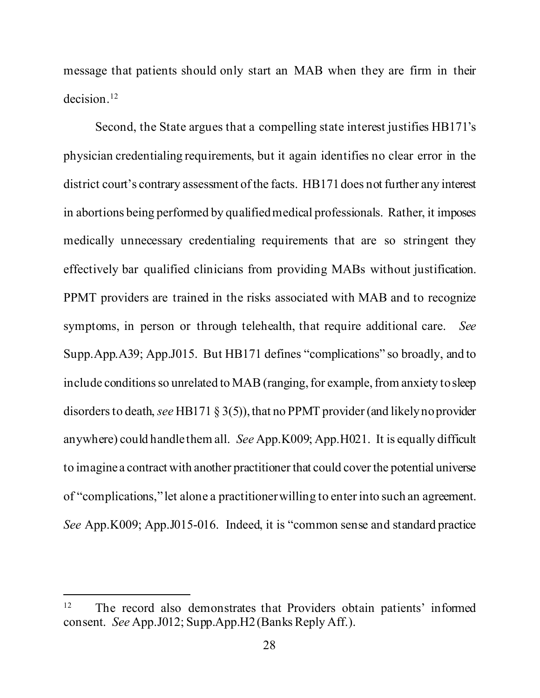message that patients should only start an MAB when they are firm in their decision.<sup>12</sup>

Second, the State argues that a compelling state interest justifies HB171's physician credentialing requirements, but it again identifies no clear error in the district court's contrary assessment of the facts. HB171 does not further any interest in abortions being performed by qualified medical professionals. Rather, it imposes medically unnecessary credentialing requirements that are so stringent they effectively bar qualified clinicians from providing MABs without justification. PPMT providers are trained in the risks associated with MAB and to recognize symptoms, in person or through telehealth, that require additional care. *See* Supp.App.A39; App.J015. But HB171 defines "complications" so broadly, and to include conditions so unrelated to MAB (ranging, for example, from anxiety to sleep disorders to death, *see* HB171 § 3(5)), that no PPMT provider (and likely no provider anywhere) could handle them all. *See* App.K009; App.H021. It is equally difficult to imagine a contract with another practitioner that could cover the potential universe of "complications," let alone a practitioner willing to enter into such an agreement. *See* App.K009; App.J015-016. Indeed, it is "common sense and standard practice

<sup>&</sup>lt;sup>12</sup> The record also demonstrates that Providers obtain patients' informed consent. *See* App.J012; Supp.App.H2 (Banks Reply Aff.).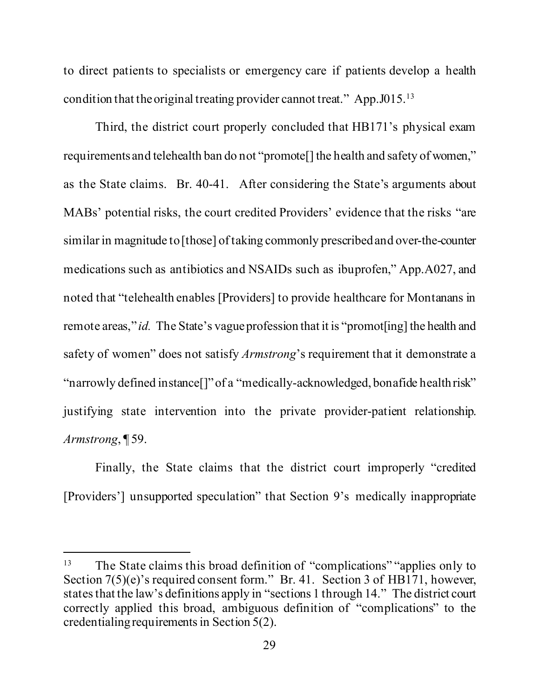to direct patients to specialists or emergency care if patients develop a health condition that the original treating provider cannot treat." App.J015.13

Third, the district court properly concluded that HB171's physical exam requirements and telehealth ban do not "promote[] the health and safety of women," as the State claims. Br. 40-41. After considering the State's arguments about MABs' potential risks, the court credited Providers' evidence that the risks "are similar in magnitude to [those] of taking commonly prescribed and over-the-counter medications such as antibiotics and NSAIDs such as ibuprofen," App.A027, and noted that "telehealth enables [Providers] to provide healthcare for Montanans in remote areas," *id.* The State's vague profession that it is "promot [ing] the health and safety of women" does not satisfy *Armstrong*'s requirement that it demonstrate a "narrowly defined instance[]" of a "medically-acknowledged, bonafide health risk" justifying state intervention into the private provider-patient relationship. *Armstrong*, ¶ 59.

Finally, the State claims that the district court improperly "credited [Providers'] unsupported speculation" that Section 9's medically inappropriate

<sup>&</sup>lt;sup>13</sup> The State claims this broad definition of "complications" "applies only to Section 7(5)(e)'s required consent form." Br. 41. Section 3 of HB171, however, states that the law's definitions apply in "sections 1 through 14." The district court correctly applied this broad, ambiguous definition of "complications" to the credentialing requirements in Section 5(2).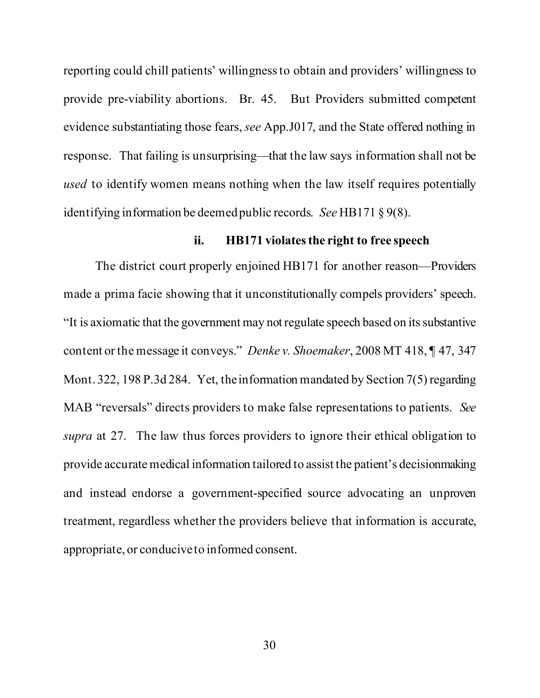reporting could chill patients' willingness to obtain and providers' willingness to provide pre-viability abortions. Br. 45. But Providers submitted competent evidence substantiating those fears, *see* App.J017, and the State offered nothing in response. That failing is unsurprising—that the law says information shall not be *used* to identify women means nothing when the law itself requires potentially identifying information be deemed public records. *See* HB171 § 9(8).

#### **ii. HB171 violates the right to free speech**

The district court properly enjoined HB171 for another reason—Providers made a prima facie showing that it unconstitutionally compels providers' speech. "It is axiomatic that the government may not regulate speech based on its substantive content or the message it conveys." *Denke v. Shoemaker*, 2008 MT 418, ¶ 47, 347 Mont. 322, 198 P.3d 284. Yet, the information mandated by Section 7(5) regarding MAB "reversals" directs providers to make false representations to patients. *See supra* at 27. The law thus forces providers to ignore their ethical obligation to provide accurate medical information tailored to assist the patient's decisionmaking and instead endorse a government-specified source advocating an unproven treatment, regardless whether the providers believe that information is accurate, appropriate, or conducive to informed consent.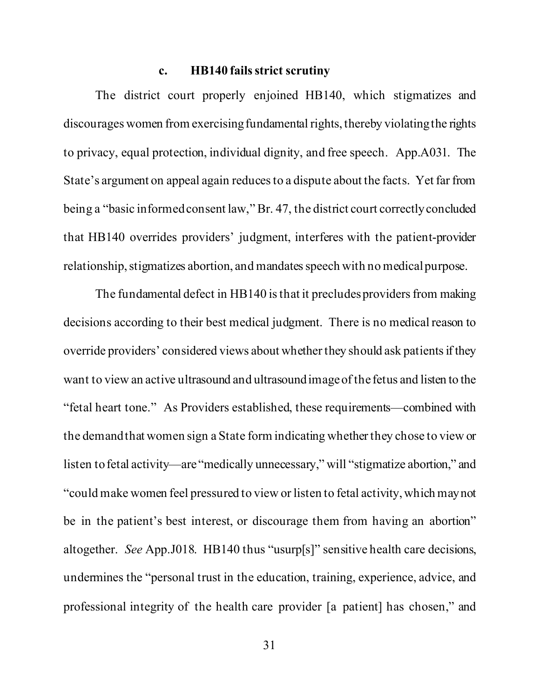#### **c. HB140 fails strict scrutiny**

The district court properly enjoined HB140, which stigmatizes and discourages women from exercising fundamental rights, thereby violating the rights to privacy, equal protection, individual dignity, and free speech. App.A031. The State's argument on appeal again reduces to a dispute about the facts. Yet far from being a "basic informed consent law," Br. 47, the district court correctly concluded that HB140 overrides providers' judgment, interferes with the patient-provider relationship, stigmatizes abortion, and mandates speech with no medical purpose.

The fundamental defect in HB140 is that it precludes providers from making decisions according to their best medical judgment. There is no medical reason to override providers' considered views about whether they should ask patients if they want to view an active ultrasound and ultrasound image of the fetus and listen to the "fetal heart tone." As Providers established, these requirements—combined with the demand that women sign a State form indicating whether they chose to view or listen to fetal activity—are "medically unnecessary," will "stigmatize abortion," and "could make women feel pressured to view or listen to fetal activity, which may not be in the patient's best interest, or discourage them from having an abortion" altogether. *See* App.J018. HB140 thus "usurp[s]" sensitive health care decisions, undermines the "personal trust in the education, training, experience, advice, and professional integrity of the health care provider [a patient] has chosen," and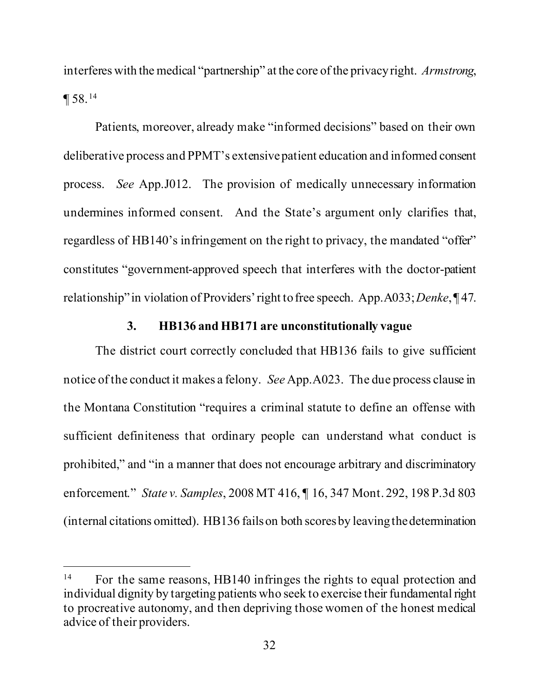interferes with the medical "partnership" at the core of the privacy right. *Armstrong*, ¶ 58. <sup>14</sup>

Patients, moreover, already make "informed decisions" based on their own deliberative process and PPMT's extensive patient education and informed consent process. *See* App.J012. The provision of medically unnecessary information undermines informed consent. And the State's argument only clarifies that, regardless of HB140's infringement on the right to privacy, the mandated "offer" constitutes "government-approved speech that interferes with the doctor-patient relationship" in violation of Providers' right to free speech. App.A033; *Denke*, ¶ 47.

### **3. HB136 and HB171 are unconstitutionally vague**

The district court correctly concluded that HB136 fails to give sufficient notice of the conduct it makes a felony. *See* App.A023. The due process clause in the Montana Constitution "requires a criminal statute to define an offense with sufficient definiteness that ordinary people can understand what conduct is prohibited," and "in a manner that does not encourage arbitrary and discriminatory enforcement." *State v. Samples*, 2008 MT 416, ¶ 16, 347 Mont. 292, 198 P.3d 803 (internal citations omitted). HB136 fails on both scores by leaving the determination

<sup>&</sup>lt;sup>14</sup> For the same reasons, HB140 infringes the rights to equal protection and individual dignity by targeting patients who seek to exercise their fundamental right to procreative autonomy, and then depriving those women of the honest medical advice of their providers.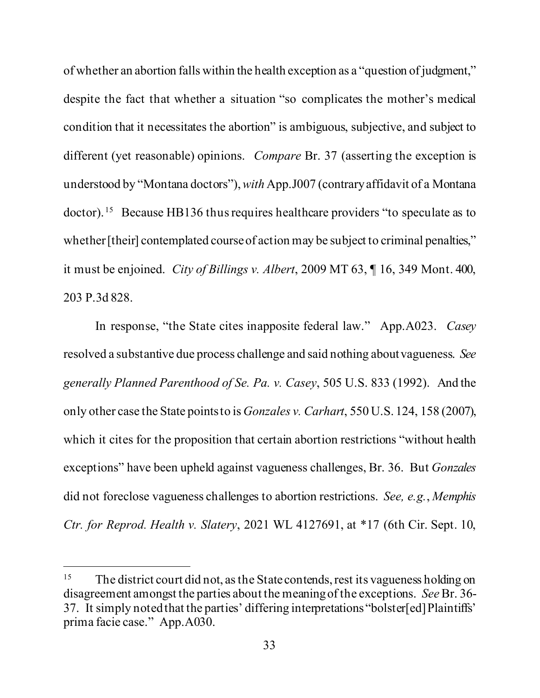of whether an abortion falls within the health exception as a "question of judgment," despite the fact that whether a situation "so complicates the mother's medical condition that it necessitates the abortion" is ambiguous, subjective, and subject to different (yet reasonable) opinions. *Compare* Br. 37 (asserting the exception is understood by "Montana doctors"), *with* App.J007 (contrary affidavit of a Montana doctor). 15 Because HB136 thus requires healthcare providers "to speculate as to whether [their] contemplated course of action may be subject to criminal penalties," it must be enjoined. *City of Billings v. Albert*, 2009 MT 63, ¶ 16, 349 Mont. 400, 203 P.3d 828.

In response, "the State cites inapposite federal law." App.A023. *Casey*  resolved a substantive due process challenge and said nothing about vagueness. *See generally Planned Parenthood of Se. Pa. v. Casey*, 505 U.S. 833 (1992). And the only other case the State points to is *Gonzales v. Carhart*, 550 U.S. 124, 158 (2007), which it cites for the proposition that certain abortion restrictions "without health exceptions" have been upheld against vagueness challenges, Br. 36. But *Gonzales*  did not foreclose vagueness challenges to abortion restrictions. *See, e.g.*, *Memphis Ctr. for Reprod. Health v. Slatery*, 2021 WL 4127691, at \*17 (6th Cir. Sept. 10,

<sup>&</sup>lt;sup>15</sup> The district court did not, as the State contends, rest its vagueness holding on disagreement amongst the parties about the meaning of the exceptions. *See* Br. 36- 37. It simply noted that the parties' differing interpretations "bolster[ed] Plaintiffs' prima facie case." App.A030.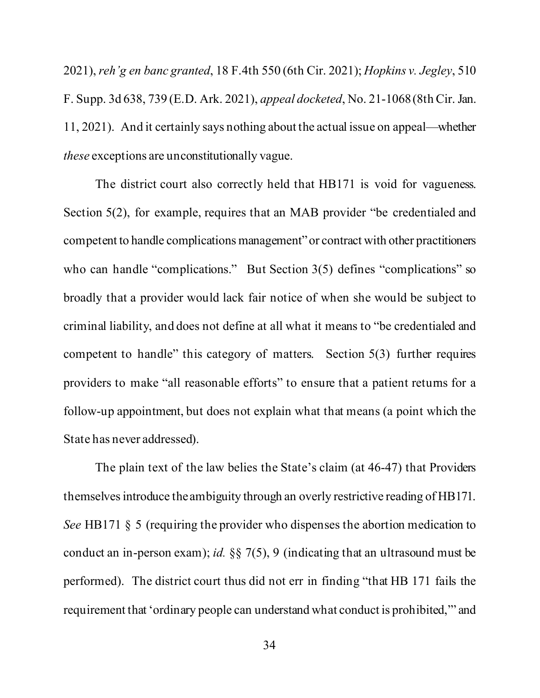2021), *reh'g en banc granted*, 18 F.4th 550 (6th Cir. 2021); *Hopkins v. Jegley*, 510 F. Supp. 3d 638, 739 (E.D. Ark. 2021), *appeal docketed*, No. 21-1068 (8th Cir. Jan. 11, 2021). And it certainly says nothing about the actual issue on appeal—whether *these* exceptions are unconstitutionally vague.

The district court also correctly held that HB171 is void for vagueness. Section 5(2), for example, requires that an MAB provider "be credentialed and competent to handle complications management" or contract with other practitioners who can handle "complications." But Section 3(5) defines "complications" so broadly that a provider would lack fair notice of when she would be subject to criminal liability, and does not define at all what it means to "be credentialed and competent to handle" this category of matters. Section 5(3) further requires providers to make "all reasonable efforts" to ensure that a patient returns for a follow-up appointment, but does not explain what that means (a point which the State has never addressed).

The plain text of the law belies the State's claim (at 46-47) that Providers themselves introduce the ambiguity through an overly restrictive reading of HB171. *See* HB171 § 5 (requiring the provider who dispenses the abortion medication to conduct an in-person exam); *id.* §§ 7(5), 9 (indicating that an ultrasound must be performed). The district court thus did not err in finding "that HB 171 fails the requirement that 'ordinary people can understand what conduct is prohibited,'" and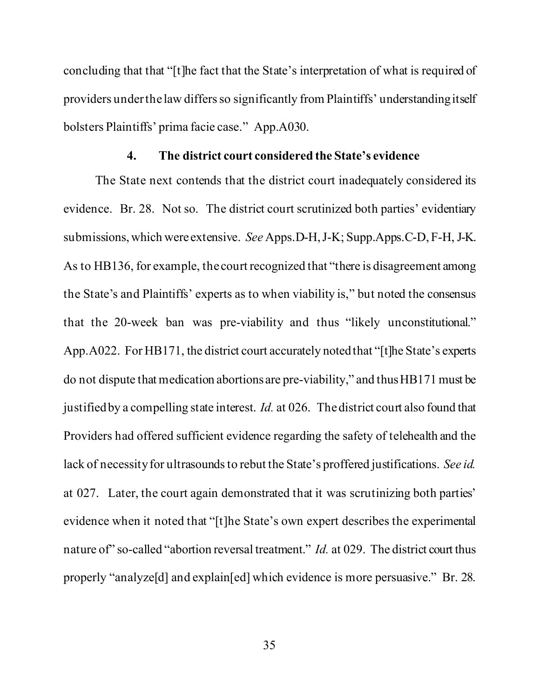concluding that that "[t]he fact that the State's interpretation of what is required of providers under the law differs so significantly from Plaintiffs' understanding itself bolsters Plaintiffs' prima facie case." App.A030.

#### **4. The district court considered the State's evidence**

The State next contends that the district court inadequately considered its evidence. Br. 28. Not so. The district court scrutinized both parties' evidentiary submissions, which were extensive. *See* Apps.D-H, J-K; Supp.Apps.C-D, F-H, J-K. As to HB136, for example, the court recognized that "there is disagreement among the State's and Plaintiffs' experts as to when viability is," but noted the consensus that the 20-week ban was pre-viability and thus "likely unconstitutional." App.A022. For HB171, the district court accurately noted that "[t]he State's experts do not dispute that medication abortions are pre-viability," and thus HB171 must be justified by a compelling state interest. *Id.* at 026. The district court also found that Providers had offered sufficient evidence regarding the safety of telehealth and the lack of necessity for ultrasounds to rebut the State's proffered justifications. *See id.* at 027. Later, the court again demonstrated that it was scrutinizing both parties' evidence when it noted that "[t]he State's own expert describes the experimental nature of" so-called "abortion reversal treatment." *Id.* at 029. The district court thus properly "analyze[d] and explain[ed] which evidence is more persuasive." Br. 28.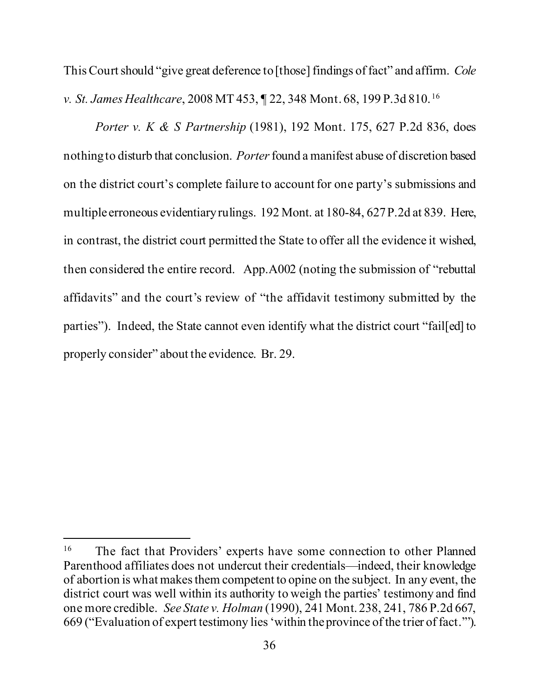This Court should "give great deference to [those] findings of fact" and affirm. *Cole v. St. James Healthcare*, 2008 MT 453, ¶ 22, 348 Mont. 68, 199 P.3d 810. 16

*Porter v. K & S Partnership* (1981), 192 Mont. 175, 627 P.2d 836, does nothing to disturb that conclusion. *Porter*found a manifest abuse of discretion based on the district court's complete failure to account for one party's submissions and multiple erroneous evidentiary rulings. 192 Mont. at 180-84, 627 P.2d at 839. Here, in contrast, the district court permitted the State to offer all the evidence it wished, then considered the entire record. App.A002 (noting the submission of "rebuttal affidavits" and the court's review of "the affidavit testimony submitted by the parties"). Indeed, the State cannot even identify what the district court "fail[ed] to properly consider" about the evidence. Br. 29.

<sup>&</sup>lt;sup>16</sup> The fact that Providers' experts have some connection to other Planned Parenthood affiliates does not undercut their credentials—indeed, their knowledge of abortion is what makes them competent to opine on the subject. In any event, the district court was well within its authority to weigh the parties' testimony and find one more credible. *See State v. Holman* (1990), 241 Mont. 238, 241, 786 P.2d 667, 669 ("Evaluation of expert testimony lies 'within the province of the trier of fact.'").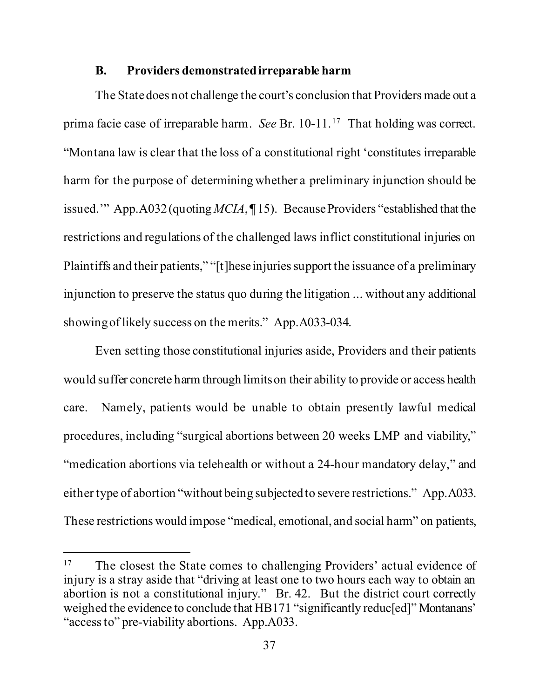#### **B. Providers demonstrated irreparable harm**

The State does not challenge the court's conclusion that Providers made out a prima facie case of irreparable harm. *See* Br. 10-11. 17 That holding was correct. "Montana law is clear that the loss of a constitutional right 'constitutes irreparable harm for the purpose of determining whether a preliminary injunction should be issued.'" App.A032 (quoting *MCIA*, ¶ 15). Because Providers "established that the restrictions and regulations of the challenged laws inflict constitutional injuries on Plaintiffs and their patients," "[t]hese injuries support the issuance of a preliminary injunction to preserve the status quo during the litigation ... without any additional showing of likely success on the merits." App.A033-034.

Even setting those constitutional injuries aside, Providers and their patients would suffer concrete harm through limits on their ability to provide or access health care. Namely, patients would be unable to obtain presently lawful medical procedures, including "surgical abortions between 20 weeks LMP and viability," "medication abortions via telehealth or without a 24-hour mandatory delay," and either type of abortion "without being subjected to severe restrictions." App.A033. These restrictions would impose "medical, emotional, and social harm" on patients,

<sup>&</sup>lt;sup>17</sup> The closest the State comes to challenging Providers' actual evidence of injury is a stray aside that "driving at least one to two hours each way to obtain an abortion is not a constitutional injury." Br. 42. But the district court correctly weighed the evidence to conclude that HB171 "significantly reduc[ed]" Montanans' "access to" pre-viability abortions. App.A033.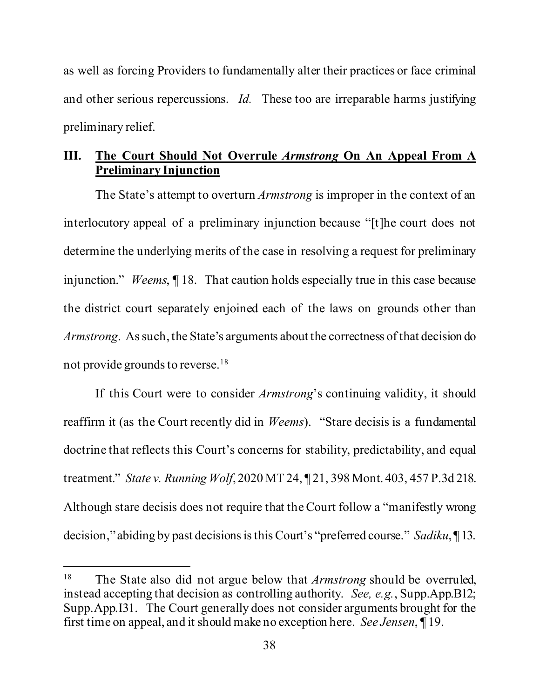as well as forcing Providers to fundamentally alter their practices or face criminal and other serious repercussions. *Id.* These too are irreparable harms justifying preliminary relief.

### **III. The Court Should Not Overrule** *Armstrong* **On An Appeal From A Preliminary Injunction**

The State's attempt to overturn *Armstrong* is improper in the context of an interlocutory appeal of a preliminary injunction because "[t]he court does not determine the underlying merits of the case in resolving a request for preliminary injunction." *Weems*, ¶ 18. That caution holds especially true in this case because the district court separately enjoined each of the laws on grounds other than *Armstrong*. As such, the State's arguments about the correctness of that decision do not provide grounds to reverse.18

If this Court were to consider *Armstrong*'s continuing validity, it should reaffirm it (as the Court recently did in *Weems*). "Stare decisis is a fundamental doctrine that reflects this Court's concerns for stability, predictability, and equal treatment." *State v. Running Wolf*, 2020 MT 24, ¶ 21, 398 Mont. 403, 457 P.3d 218. Although stare decisis does not require that the Court follow a "manifestly wrong decision," abiding by past decisions is this Court's "preferred course." *Sadiku*, ¶ 13.

<sup>18</sup> The State also did not argue below that *Armstrong* should be overruled, instead accepting that decision as controlling authority. *See, e.g.*, Supp.App.B12; Supp.App.I31. The Court generally does not consider arguments brought for the first time on appeal, and it should make no exception here. *See Jensen*, ¶ 19.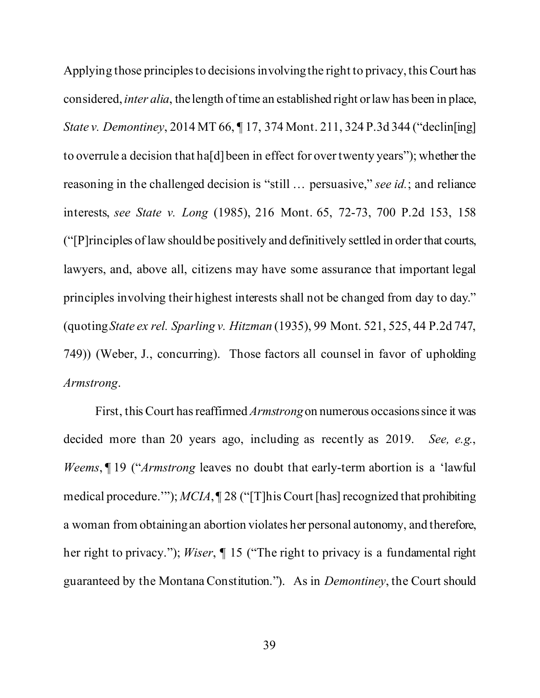Applying those principles to decisions involving the right to privacy, this Court has considered, *inter alia*, the length of time an established right or law has been in place, *State v. Demontiney*, 2014 MT 66, ¶ 17, 374 Mont. 211, 324 P.3d 344 ("declin[ing] to overrule a decision that ha[d] been in effect for over twenty years"); whether the reasoning in the challenged decision is "still … persuasive," *see id.*; and reliance interests, *see State v. Long* (1985), 216 Mont. 65, 72-73, 700 P.2d 153, 158 ("[P]rinciples of law should be positively and definitively settled in order that courts, lawyers, and, above all, citizens may have some assurance that important legal principles involving their highest interests shall not be changed from day to day." (quoting *State ex rel. Sparling v. Hitzman* (1935), 99 Mont. 521, 525, 44 P.2d 747, 749)) (Weber, J., concurring). Those factors all counsel in favor of upholding *Armstrong*.

First, this Court has reaffirmed *Armstrong*on numerous occasions since it was decided more than 20 years ago, including as recently as 2019. *See, e.g.*, *Weems*, ¶ 19 ("*Armstrong* leaves no doubt that early-term abortion is a 'lawful medical procedure.'"); *MCIA*, ¶ 28 ("[T]his Court [has] recognized that prohibiting a woman from obtaining an abortion violates her personal autonomy, and therefore, her right to privacy."); *Wiser*, ¶ 15 ("The right to privacy is a fundamental right guaranteed by the Montana Constitution."). As in *Demontiney*, the Court should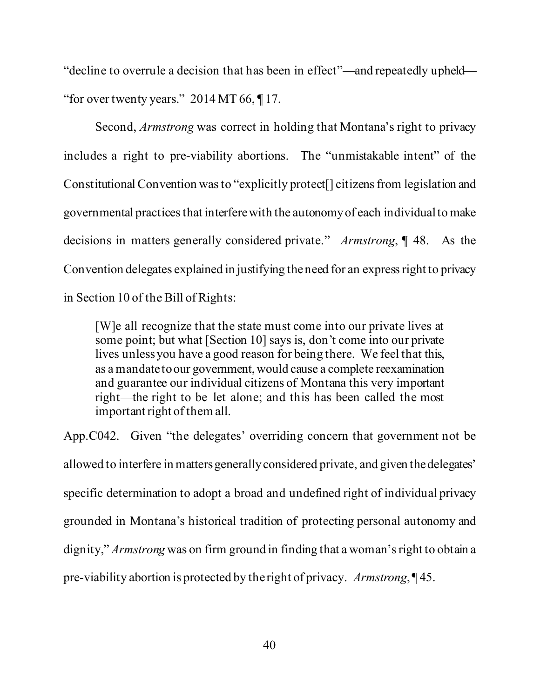"decline to overrule a decision that has been in effect"—and repeatedly upheld— "for over twenty years."  $2014 \text{ MT } 66$ ,  $\P$ 17.

Second, *Armstrong* was correct in holding that Montana's right to privacy includes a right to pre-viability abortions. The "unmistakable intent" of the Constitutional Convention was to "explicitly protect[] citizens from legislation and governmental practices that interfere with the autonomy of each individual to make decisions in matters generally considered private." *Armstrong*, ¶ 48. As the Convention delegates explained in justifying the need for an express right to privacy in Section 10 of the Bill of Rights:

[W]e all recognize that the state must come into our private lives at some point; but what [Section 10] says is, don't come into our private lives unless you have a good reason for being there. We feel that this, as a mandate to our government, would cause a complete reexamination and guarantee our individual citizens of Montana this very important right—the right to be let alone; and this has been called the most important right of them all.

App.C042. Given "the delegates' overriding concern that government not be allowed to interfere in matters generally considered private, and given the delegates' specific determination to adopt a broad and undefined right of individual privacy grounded in Montana's historical tradition of protecting personal autonomy and dignity," *Armstrong* was on firm ground in finding that a woman's right to obtain a pre-viability abortion is protected by the right of privacy. *Armstrong*, ¶ 45.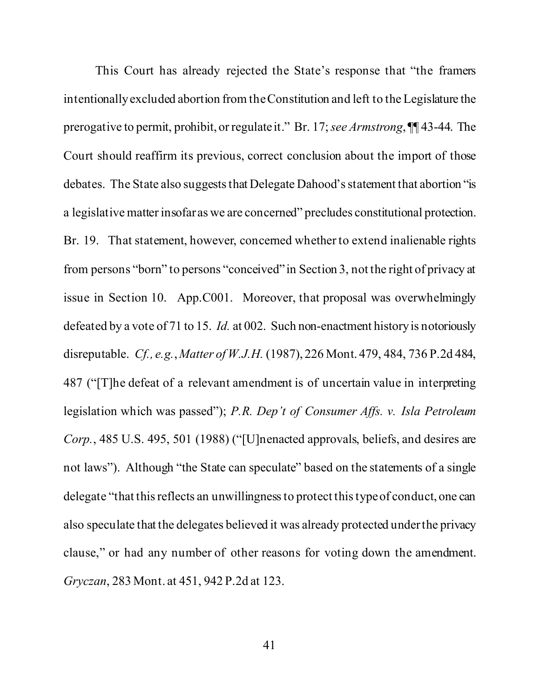This Court has already rejected the State's response that "the framers intentionally excluded abortion from the Constitution and left to the Legislature the prerogative to permit, prohibit, or regulate it." Br. 17; *see Armstrong*, ¶¶ 43-44. The Court should reaffirm its previous, correct conclusion about the import of those debates. The State also suggests that Delegate Dahood's statement that abortion "is a legislative matter insofar as we are concerned" precludes constitutional protection. Br. 19. That statement, however, concerned whether to extend inalienable rights from persons "born" to persons "conceived" in Section 3, not the right of privacy at issue in Section 10. App.C001. Moreover, that proposal was overwhelmingly defeated by a vote of 71 to 15. *Id.* at 002. Such non-enactment history is notoriously disreputable. *Cf., e.g.*, *Matter of W.J.H.* (1987), 226 Mont. 479, 484, 736 P.2d 484, 487 ("[T]he defeat of a relevant amendment is of uncertain value in interpreting legislation which was passed"); *P.R. Dep't of Consumer Affs. v. Isla Petroleum Corp.*, 485 U.S. 495, 501 (1988) ("[U]nenacted approvals, beliefs, and desires are not laws"). Although "the State can speculate" based on the statements of a single delegate "that this reflects an unwillingness to protect this type of conduct, one can also speculate that the delegates believed it was already protected under the privacy clause," or had any number of other reasons for voting down the amendment. *Gryczan*, 283 Mont. at 451, 942 P.2d at 123.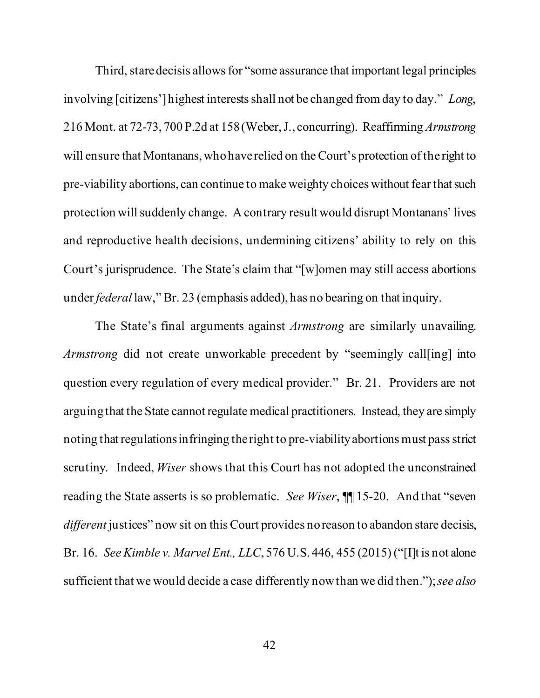Third, stare decisis allows for "some assurance that important legal principles involving [citizens'] highest interests shall not be changed from day to day." *Long*, 216 Mont. at 72-73, 700 P.2d at 158 (Weber, J., concurring). Reaffirming *Armstrong*  will ensure that Montanans, who have relied on the Court's protection of the right to pre-viability abortions, can continue to make weighty choices without fear that such protection will suddenly change. A contrary result would disrupt Montanans' lives and reproductive health decisions, undermining citizens' ability to rely on this Court's jurisprudence. The State's claim that "[w]omen may still access abortions under *federal* law," Br. 23 (emphasis added), has no bearing on that inquiry.

The State's final arguments against *Armstrong* are similarly unavailing. *Armstrong* did not create unworkable precedent by "seemingly call[ing] into question every regulation of every medical provider." Br. 21. Providers are not arguing that the State cannot regulate medical practitioners*.* Instead, they are simply noting that regulations infringing the right to pre-viability abortions must pass strict scrutiny. Indeed, *Wiser* shows that this Court has not adopted the unconstrained reading the State asserts is so problematic. *See Wiser*, ¶¶ 15-20. And that "seven *different* justices" now sit on this Court provides no reason to abandon stare decisis, Br. 16. *See Kimble v. Marvel Ent., LLC*, 576 U.S. 446, 455 (2015) ("[I]t is not alone sufficient that we would decide a case differently now than we did then."); *see also*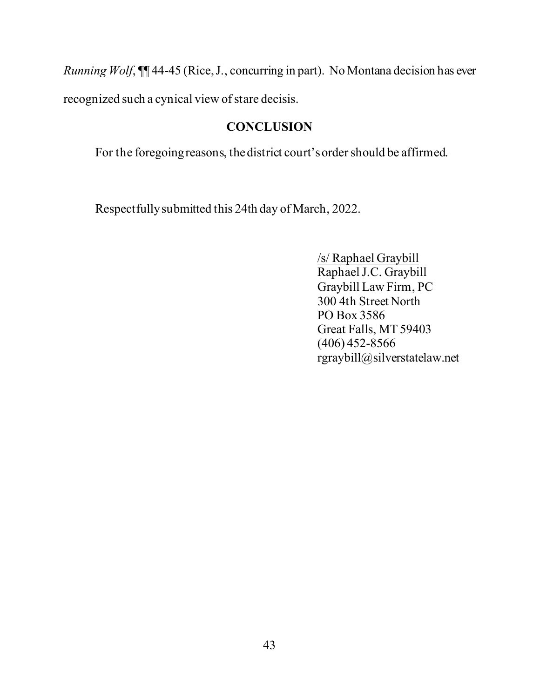*Running Wolf*, ¶¶ 44-45 (Rice, J., concurring in part). No Montana decision has ever

recognized such a cynical view of stare decisis.

## **CONCLUSION**

For the foregoing reasons, the district court's order should be affirmed.

Respectfully submitted this 24th day of March, 2022.

/s/ Raphael Graybill Raphael J.C. Graybill Graybill Law Firm, PC 300 4th Street North PO Box 3586 Great Falls, MT 59403 (406) 452-8566 rgraybill@silverstatelaw.net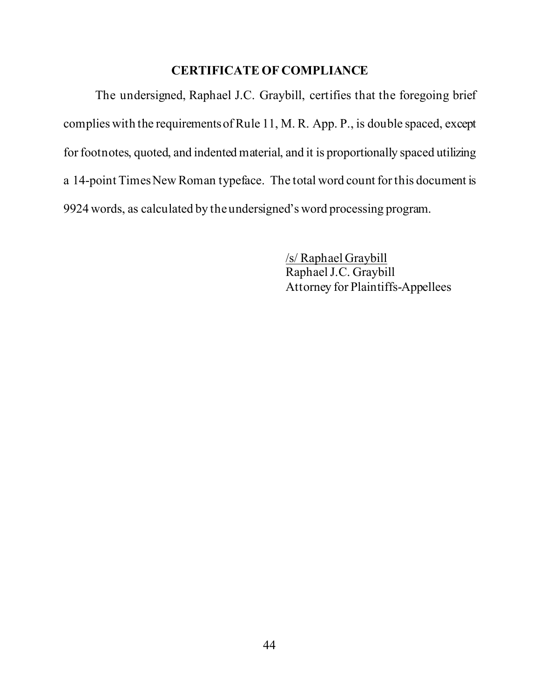### **CERTIFICATE OF COMPLIANCE**

The undersigned, Raphael J.C. Graybill, certifies that the foregoing brief complies with the requirements of Rule 11, M. R. App. P., is double spaced, except for footnotes, quoted, and indented material, and it is proportionally spaced utilizing a 14-point Times New Roman typeface. The total word count for this document is 9924 words, as calculated by the undersigned's word processing program.

> /s/ Raphael Graybill Raphael J.C. Graybill Attorney for Plaintiffs-Appellees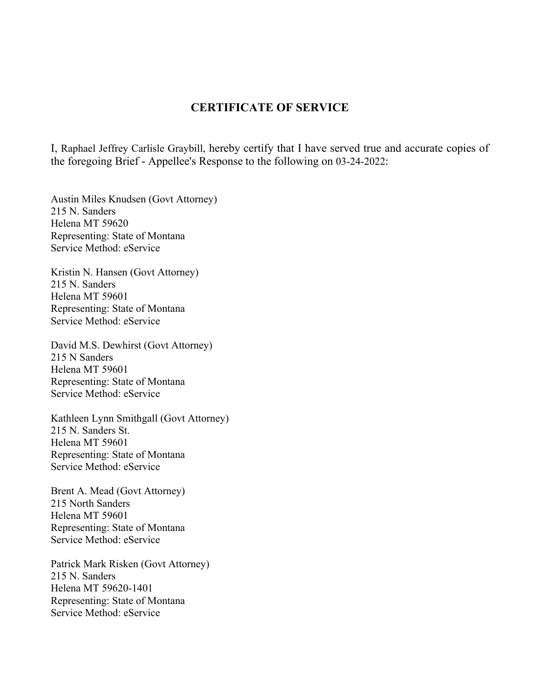### **CERTIFICATE OF SERVICE**

I, Raphael Jeffrey Carlisle Graybill, hereby certify that I have served true and accurate copies of the foregoing Brief - Appellee's Response to the following on 03-24-2022:

Austin Miles Knudsen (Govt Attorney) 215 N. Sanders Helena MT 59620 Representing: State of Montana Service Method: eService

Kristin N. Hansen (Govt Attorney) 215 N. Sanders Helena MT 59601 Representing: State of Montana Service Method: eService

David M.S. Dewhirst (Govt Attorney) 215 N Sanders Helena MT 59601 Representing: State of Montana Service Method: eService

Kathleen Lynn Smithgall (Govt Attorney) 215 N. Sanders St. Helena MT 59601 Representing: State of Montana Service Method: eService

Brent A. Mead (Govt Attorney) 215 North Sanders Helena MT 59601 Representing: State of Montana Service Method: eService

Patrick Mark Risken (Govt Attorney) 215 N. Sanders Helena MT 59620-1401 Representing: State of Montana Service Method: eService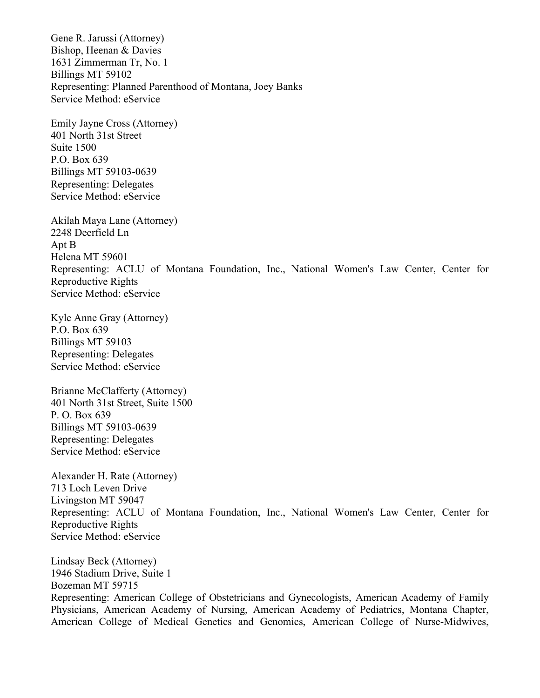Gene R. Jarussi (Attorney) Bishop, Heenan & Davies 1631 Zimmerman Tr, No. 1 Billings MT 59102 Representing: Planned Parenthood of Montana, Joey Banks Service Method: eService

Emily Jayne Cross (Attorney) 401 North 31st Street Suite 1500 P.O. Box 639 Billings MT 59103-0639 Representing: Delegates Service Method: eService

Akilah Maya Lane (Attorney) 2248 Deerfield Ln Apt B Helena MT 59601 Representing: ACLU of Montana Foundation, Inc., National Women's Law Center, Center for Reproductive Rights Service Method: eService

Kyle Anne Gray (Attorney) P.O. Box 639 Billings MT 59103 Representing: Delegates Service Method: eService

Brianne McClafferty (Attorney) 401 North 31st Street, Suite 1500 P. O. Box 639 Billings MT 59103-0639 Representing: Delegates Service Method: eService

Alexander H. Rate (Attorney) 713 Loch Leven Drive Livingston MT 59047 Representing: ACLU of Montana Foundation, Inc., National Women's Law Center, Center for Reproductive Rights Service Method: eService

Lindsay Beck (Attorney) 1946 Stadium Drive, Suite 1 Bozeman MT 59715 Representing: American College of Obstetricians and Gynecologists, American Academy of Family Physicians, American Academy of Nursing, American Academy of Pediatrics, Montana Chapter, American College of Medical Genetics and Genomics, American College of Nurse-Midwives,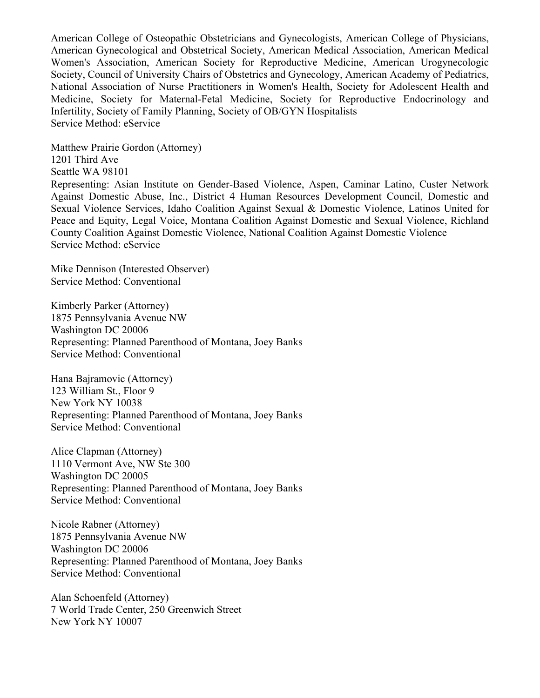American College of Osteopathic Obstetricians and Gynecologists, American College of Physicians, American Gynecological and Obstetrical Society, American Medical Association, American Medical Women's Association, American Society for Reproductive Medicine, American Urogynecologic Society, Council of University Chairs of Obstetrics and Gynecology, American Academy of Pediatrics, National Association of Nurse Practitioners in Women's Health, Society for Adolescent Health and Medicine, Society for Maternal-Fetal Medicine, Society for Reproductive Endocrinology and Infertility, Society of Family Planning, Society of OB/GYN Hospitalists Service Method: eService

Matthew Prairie Gordon (Attorney) 1201 Third Ave Seattle WA 98101

Representing: Asian Institute on Gender-Based Violence, Aspen, Caminar Latino, Custer Network Against Domestic Abuse, Inc., District 4 Human Resources Development Council, Domestic and Sexual Violence Services, Idaho Coalition Against Sexual & Domestic Violence, Latinos United for Peace and Equity, Legal Voice, Montana Coalition Against Domestic and Sexual Violence, Richland County Coalition Against Domestic Violence, National Coalition Against Domestic Violence Service Method: eService

Mike Dennison (Interested Observer) Service Method: Conventional

Kimberly Parker (Attorney) 1875 Pennsylvania Avenue NW Washington DC 20006 Representing: Planned Parenthood of Montana, Joey Banks Service Method: Conventional

Hana Bajramovic (Attorney) 123 William St., Floor 9 New York NY 10038 Representing: Planned Parenthood of Montana, Joey Banks Service Method: Conventional

Alice Clapman (Attorney) 1110 Vermont Ave, NW Ste 300 Washington DC 20005 Representing: Planned Parenthood of Montana, Joey Banks Service Method: Conventional

Nicole Rabner (Attorney) 1875 Pennsylvania Avenue NW Washington DC 20006 Representing: Planned Parenthood of Montana, Joey Banks Service Method: Conventional

Alan Schoenfeld (Attorney) 7 World Trade Center, 250 Greenwich Street New York NY 10007